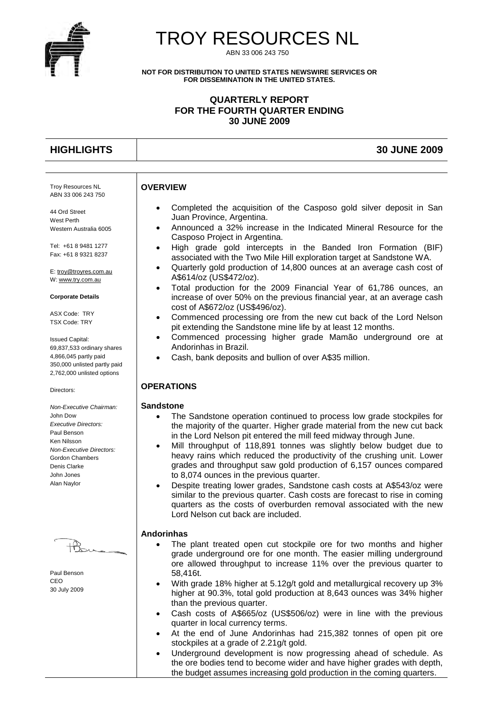

# TROY RESOURCES NL

ABN 33 006 243 750

**NOT FOR DISTRIBUTION TO UNITED STATES NEWSWIRE SERVICES OR FOR DISSEMINATION IN THE UNITED STATES.**

### **QUARTERLY REPORT FOR THE FOURTH QUARTER ENDING 30 JUNE 2009**

**HIGHLIGHTS 30 JUNE 2009**

#### Troy Resources NL ABN 33 006 243 750

44 Ord Street West Perth Western Australia 6005

Tel: +61 8 9481 1277 Fax: +61 8 9321 8237

E: [troy@troyres.com.au](mailto:troy@troyres.com.au) W[: www.try.com.au](http://www.try.com.au/)

#### **Corporate Details**

ASX Code: TRY TSX Code: TRY

Issued Capital: 69,837,533 ordinary shares 4,866,045 partly paid 350,000 unlisted partly paid 2,762,000 unlisted options

Directors:

*Non-Executive Chairman:* John Dow *Executive Directors:* Paul Benson Ken Nilsson *Non-Executive Directors:* Gordon Chambers Denis Clarke John Jones Alan Naylor

Paul Benson CEO 30 July 2009

- Completed the acquisition of the Casposo gold silver deposit in San Juan Province, Argentina.
- Announced a 32% increase in the Indicated Mineral Resource for the Casposo Project in Argentina.
- High grade gold intercepts in the Banded Iron Formation (BIF) associated with the Two Mile Hill exploration target at Sandstone WA.
- Quarterly gold production of 14,800 ounces at an average cash cost of A\$614/oz (US\$472/oz).
- Total production for the 2009 Financial Year of 61,786 ounces, an increase of over 50% on the previous financial year, at an average cash cost of A\$672/oz (US\$496/oz).
- Commenced processing ore from the new cut back of the Lord Nelson pit extending the Sandstone mine life by at least 12 months.
- Commenced processing higher grade Mamão underground ore at Andorinhas in Brazil.
- Cash, bank deposits and bullion of over A\$35 million.

# **OPERATIONS**

#### **Sandstone**

**OVERVIEW**

- The Sandstone operation continued to process low grade stockpiles for the majority of the quarter. Higher grade material from the new cut back in the Lord Nelson pit entered the mill feed midway through June.
- Mill throughput of 118,891 tonnes was slightly below budget due to heavy rains which reduced the productivity of the crushing unit. Lower grades and throughput saw gold production of 6,157 ounces compared to 8,074 ounces in the previous quarter.
- Despite treating lower grades, Sandstone cash costs at A\$543/oz were similar to the previous quarter. Cash costs are forecast to rise in coming quarters as the costs of overburden removal associated with the new Lord Nelson cut back are included.

#### **Andorinhas**

- The plant treated open cut stockpile ore for two months and higher grade underground ore for one month. The easier milling underground ore allowed throughput to increase 11% over the previous quarter to 58,416t.
- With grade 18% higher at 5.12g/t gold and metallurgical recovery up 3% higher at 90.3%, total gold production at 8,643 ounces was 34% higher than the previous quarter.
- Cash costs of A\$665/oz (US\$506/oz) were in line with the previous quarter in local currency terms.
- At the end of June Andorinhas had 215,382 tonnes of open pit ore stockpiles at a grade of 2.21g/t gold.
- Underground development is now progressing ahead of schedule. As the ore bodies tend to become wider and have higher grades with depth, the budget assumes increasing gold production in the coming quarters.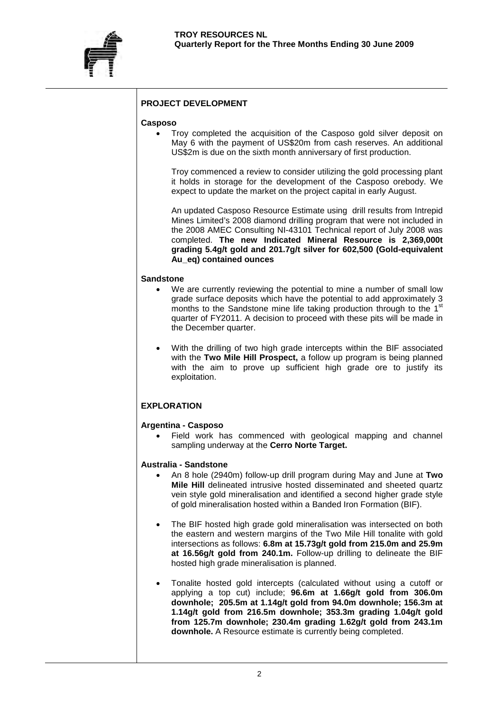

# **PROJECT DEVELOPMENT**

#### **Casposo**

• Troy completed the acquisition of the Casposo gold silver deposit on May 6 with the payment of US\$20m from cash reserves. An additional US\$2m is due on the sixth month anniversary of first production.

Troy commenced a review to consider utilizing the gold processing plant it holds in storage for the development of the Casposo orebody. We expect to update the market on the project capital in early August.

An updated Casposo Resource Estimate using drill results from Intrepid Mines Limited's 2008 diamond drilling program that were not included in the 2008 AMEC Consulting NI-43101 Technical report of July 2008 was completed. **The new Indicated Mineral Resource is 2,369,000t grading 5.4g/t gold and 201.7g/t silver for 602,500 (Gold-equivalent Au\_eq) contained ounces** 

#### **Sandstone**

- We are currently reviewing the potential to mine a number of small low grade surface deposits which have the potential to add approximately 3 months to the Sandstone mine life taking production through to the 1<sup>st</sup> quarter of FY2011. A decision to proceed with these pits will be made in the December quarter.
- With the drilling of two high grade intercepts within the BIF associated with the **Two Mile Hill Prospect,** a follow up program is being planned with the aim to prove up sufficient high grade ore to justify its exploitation.

#### **EXPLORATION**

#### **Argentina - Casposo**

Field work has commenced with geological mapping and channel sampling underway at the **Cerro Norte Target.**

#### **Australia - Sandstone**

- An 8 hole (2940m) follow-up drill program during May and June at **Two Mile Hill** delineated intrusive hosted disseminated and sheeted quartz vein style gold mineralisation and identified a second higher grade style of gold mineralisation hosted within a Banded Iron Formation (BIF).
- The BIF hosted high grade gold mineralisation was intersected on both the eastern and western margins of the Two Mile Hill tonalite with gold intersections as follows: **6.8m at 15.73g/t gold from 215.0m and 25.9m at 16.56g/t gold from 240.1m.** Follow-up drilling to delineate the BIF hosted high grade mineralisation is planned.
- Tonalite hosted gold intercepts (calculated without using a cutoff or applying a top cut) include; **96.6m at 1.66g/t gold from 306.0m downhole; 205.5m at 1.14g/t gold from 94.0m downhole; 156.3m at 1.14g/t gold from 216.5m downhole; 353.3m grading 1.04g/t gold from 125.7m downhole; 230.4m grading 1.62g/t gold from 243.1m downhole.** A Resource estimate is currently being completed.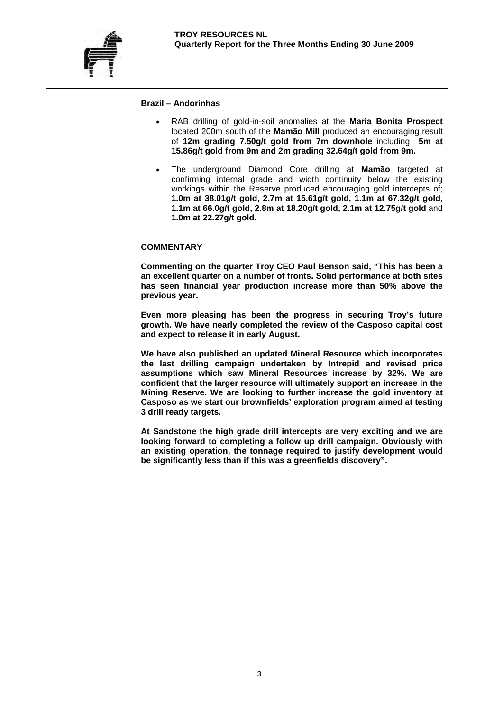

#### **Brazil – Andorinhas**

- RAB drilling of gold-in-soil anomalies at the **Maria Bonita Prospect**  located 200m south of the **Mamão Mill** produced an encouraging result of **12m grading 7.50g/t gold from 7m downhole** including **5m at 15.86g/t gold from 9m and 2m grading 32.64g/t gold from 9m.**
- The underground Diamond Core drilling at **Mamão** targeted at confirming internal grade and width continuity below the existing workings within the Reserve produced encouraging gold intercepts of; **1.0m at 38.01g/t gold, 2.7m at 15.61g/t gold, 1.1m at 67.32g/t gold, 1.1m at 66.0g/t gold, 2.8m at 18.20g/t gold, 2.1m at 12.75g/t gold** and **1.0m at 22.27g/t gold.**

#### **COMMENTARY**

**Commenting on the quarter Troy CEO Paul Benson said, "This has been a an excellent quarter on a number of fronts. Solid performance at both sites has seen financial year production increase more than 50% above the previous year.** 

**Even more pleasing has been the progress in securing Troy's future growth. We have nearly completed the review of the Casposo capital cost and expect to release it in early August.** 

**We have also published an updated Mineral Resource which incorporates the last drilling campaign undertaken by Intrepid and revised price assumptions which saw Mineral Resources increase by 32%. We are confident that the larger resource will ultimately support an increase in the Mining Reserve. We are looking to further increase the gold inventory at Casposo as we start our brownfields' exploration program aimed at testing 3 drill ready targets.**

**At Sandstone the high grade drill intercepts are very exciting and we are looking forward to completing a follow up drill campaign. Obviously with an existing operation, the tonnage required to justify development would be significantly less than if this was a greenfields discovery".**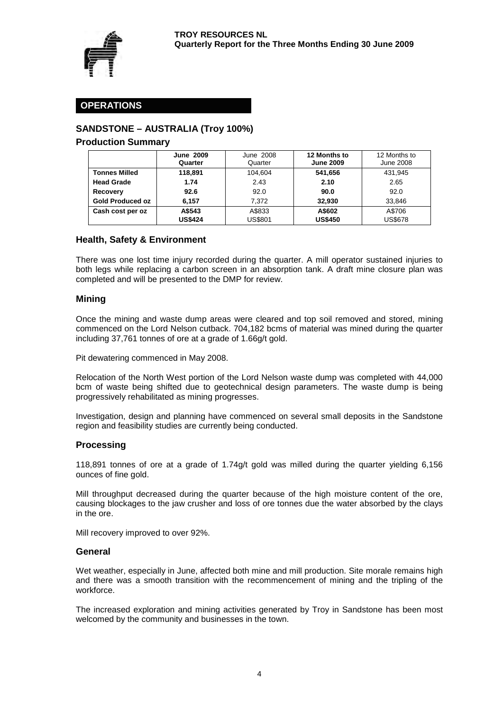

# **OPERATIONS**

# **SANDSTONE – AUSTRALIA (Troy 100%)**

#### **Production Summary**

|                         | <b>June 2009</b> | June 2008      | 12 Months to     | 12 Months to   |
|-------------------------|------------------|----------------|------------------|----------------|
|                         | Quarter          | Quarter        | <b>June 2009</b> | June 2008      |
| <b>Tonnes Milled</b>    | 118.891          | 104.604        | 541.656          | 431.945        |
| <b>Head Grade</b>       | 1.74             | 2.43           | 2.10             | 2.65           |
| Recovery                | 92.6             | 92.0           | 90.0             | 92.0           |
| <b>Gold Produced oz</b> | 6.157            | 7.372          | 32.930           | 33,846         |
| Cash cost per oz        | A\$543           | A\$833         | A\$602           | A\$706         |
|                         | <b>US\$424</b>   | <b>US\$801</b> | <b>US\$450</b>   | <b>US\$678</b> |

# **Health, Safety & Environment**

There was one lost time injury recorded during the quarter. A mill operator sustained injuries to both legs while replacing a carbon screen in an absorption tank. A draft mine closure plan was completed and will be presented to the DMP for review.

#### **Mining**

Once the mining and waste dump areas were cleared and top soil removed and stored, mining commenced on the Lord Nelson cutback. 704,182 bcms of material was mined during the quarter including 37,761 tonnes of ore at a grade of 1.66g/t gold.

Pit dewatering commenced in May 2008.

Relocation of the North West portion of the Lord Nelson waste dump was completed with 44,000 bcm of waste being shifted due to geotechnical design parameters. The waste dump is being progressively rehabilitated as mining progresses.

Investigation, design and planning have commenced on several small deposits in the Sandstone region and feasibility studies are currently being conducted.

#### **Processing**

118,891 tonnes of ore at a grade of 1.74g/t gold was milled during the quarter yielding 6,156 ounces of fine gold.

Mill throughput decreased during the quarter because of the high moisture content of the ore, causing blockages to the jaw crusher and loss of ore tonnes due the water absorbed by the clays in the ore.

Mill recovery improved to over 92%.

#### **General**

Wet weather, especially in June, affected both mine and mill production. Site morale remains high and there was a smooth transition with the recommencement of mining and the tripling of the workforce.

The increased exploration and mining activities generated by Troy in Sandstone has been most welcomed by the community and businesses in the town.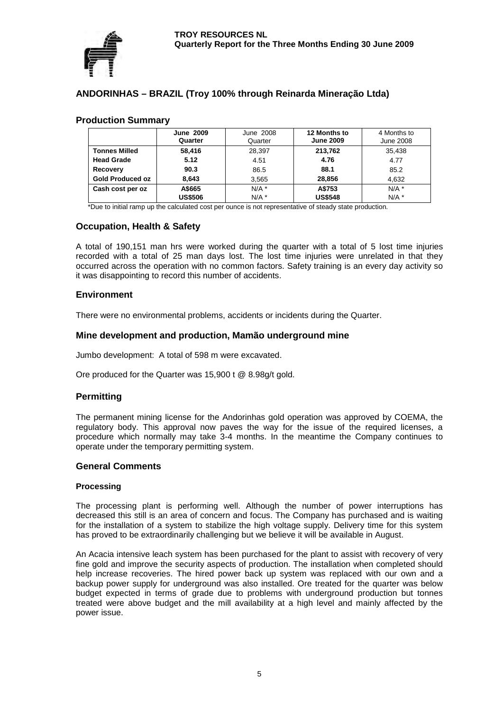

# **ANDORINHAS – BRAZIL (Troy 100% through Reinarda Mineração Ltda)**

### **Production Summary**

|                         | <b>June 2009</b><br>Quarter | June 2008<br>Quarter | 12 Months to<br><b>June 2009</b> | 4 Months to<br><b>June 2008</b> |
|-------------------------|-----------------------------|----------------------|----------------------------------|---------------------------------|
| <b>Tonnes Milled</b>    | 58.416                      | 28.397               | 213.762                          | 35.438                          |
| <b>Head Grade</b>       | 5.12                        | 4.51                 | 4.76                             | 4.77                            |
| Recovery                | 90.3                        | 86.5                 | 88.1                             | 85.2                            |
| <b>Gold Produced oz</b> | 8.643                       | 3.565                | 28.856                           | 4.632                           |
| Cash cost per oz        | A\$665                      | $N/A$ *              | A\$753                           | $N/A$ *                         |
|                         | <b>US\$506</b>              | $N/A$ *              | <b>US\$548</b>                   | $N/A$ *                         |

\*Due to initial ramp up the calculated cost per ounce is not representative of steady state production.

### **Occupation, Health & Safety**

A total of 190,151 man hrs were worked during the quarter with a total of 5 lost time injuries recorded with a total of 25 man days lost. The lost time injuries were unrelated in that they occurred across the operation with no common factors. Safety training is an every day activity so it was disappointing to record this number of accidents.

### **Environment**

There were no environmental problems, accidents or incidents during the Quarter.

### **Mine development and production, Mamão underground mine**

Jumbo development: A total of 598 m were excavated.

Ore produced for the Quarter was 15,900 t @ 8.98g/t gold.

#### **Permitting**

The permanent mining license for the Andorinhas gold operation was approved by COEMA, the regulatory body. This approval now paves the way for the issue of the required licenses, a procedure which normally may take 3-4 months. In the meantime the Company continues to operate under the temporary permitting system.

#### **General Comments**

#### **Processing**

The processing plant is performing well. Although the number of power interruptions has decreased this still is an area of concern and focus. The Company has purchased and is waiting for the installation of a system to stabilize the high voltage supply. Delivery time for this system has proved to be extraordinarily challenging but we believe it will be available in August.

An Acacia intensive leach system has been purchased for the plant to assist with recovery of very fine gold and improve the security aspects of production. The installation when completed should help increase recoveries. The hired power back up system was replaced with our own and a backup power supply for underground was also installed. Ore treated for the quarter was below budget expected in terms of grade due to problems with underground production but tonnes treated were above budget and the mill availability at a high level and mainly affected by the power issue.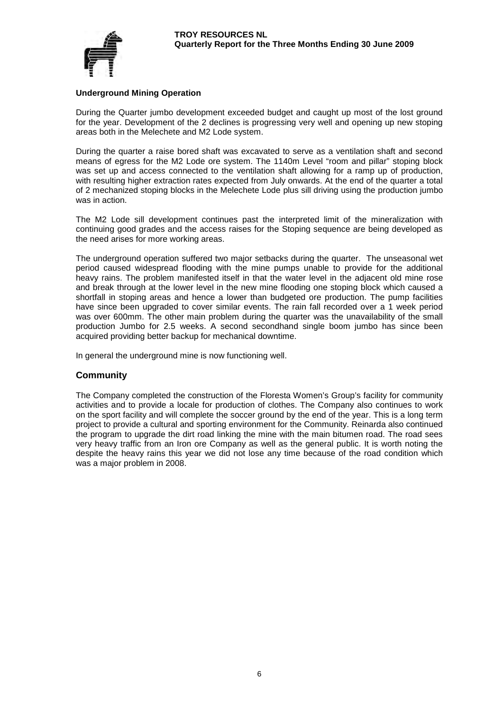

#### **Underground Mining Operation**

During the Quarter jumbo development exceeded budget and caught up most of the lost ground for the year. Development of the 2 declines is progressing very well and opening up new stoping areas both in the Melechete and M2 Lode system.

During the quarter a raise bored shaft was excavated to serve as a ventilation shaft and second means of egress for the M2 Lode ore system. The 1140m Level "room and pillar" stoping block was set up and access connected to the ventilation shaft allowing for a ramp up of production, with resulting higher extraction rates expected from July onwards. At the end of the quarter a total of 2 mechanized stoping blocks in the Melechete Lode plus sill driving using the production jumbo was in action.

The M2 Lode sill development continues past the interpreted limit of the mineralization with continuing good grades and the access raises for the Stoping sequence are being developed as the need arises for more working areas.

The underground operation suffered two major setbacks during the quarter. The unseasonal wet period caused widespread flooding with the mine pumps unable to provide for the additional heavy rains. The problem manifested itself in that the water level in the adjacent old mine rose and break through at the lower level in the new mine flooding one stoping block which caused a shortfall in stoping areas and hence a lower than budgeted ore production. The pump facilities have since been upgraded to cover similar events. The rain fall recorded over a 1 week period was over 600mm. The other main problem during the quarter was the unavailability of the small production Jumbo for 2.5 weeks. A second secondhand single boom jumbo has since been acquired providing better backup for mechanical downtime.

In general the underground mine is now functioning well.

# **Community**

The Company completed the construction of the Floresta Women's Group's facility for community activities and to provide a locale for production of clothes. The Company also continues to work on the sport facility and will complete the soccer ground by the end of the year. This is a long term project to provide a cultural and sporting environment for the Community. Reinarda also continued the program to upgrade the dirt road linking the mine with the main bitumen road. The road sees very heavy traffic from an Iron ore Company as well as the general public. It is worth noting the despite the heavy rains this year we did not lose any time because of the road condition which was a major problem in 2008.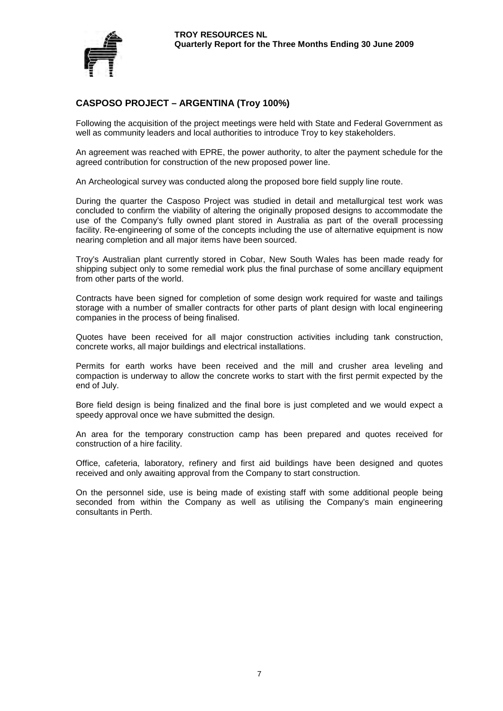

# **CASPOSO PROJECT – ARGENTINA (Troy 100%)**

Following the acquisition of the project meetings were held with State and Federal Government as well as community leaders and local authorities to introduce Troy to key stakeholders.

An agreement was reached with EPRE, the power authority, to alter the payment schedule for the agreed contribution for construction of the new proposed power line.

An Archeological survey was conducted along the proposed bore field supply line route.

During the quarter the Casposo Project was studied in detail and metallurgical test work was concluded to confirm the viability of altering the originally proposed designs to accommodate the use of the Company's fully owned plant stored in Australia as part of the overall processing facility. Re-engineering of some of the concepts including the use of alternative equipment is now nearing completion and all major items have been sourced.

Troy's Australian plant currently stored in Cobar, New South Wales has been made ready for shipping subject only to some remedial work plus the final purchase of some ancillary equipment from other parts of the world.

Contracts have been signed for completion of some design work required for waste and tailings storage with a number of smaller contracts for other parts of plant design with local engineering companies in the process of being finalised.

Quotes have been received for all major construction activities including tank construction, concrete works, all major buildings and electrical installations.

Permits for earth works have been received and the mill and crusher area leveling and compaction is underway to allow the concrete works to start with the first permit expected by the end of July.

Bore field design is being finalized and the final bore is just completed and we would expect a speedy approval once we have submitted the design.

An area for the temporary construction camp has been prepared and quotes received for construction of a hire facility.

Office, cafeteria, laboratory, refinery and first aid buildings have been designed and quotes received and only awaiting approval from the Company to start construction.

On the personnel side, use is being made of existing staff with some additional people being seconded from within the Company as well as utilising the Company's main engineering consultants in Perth.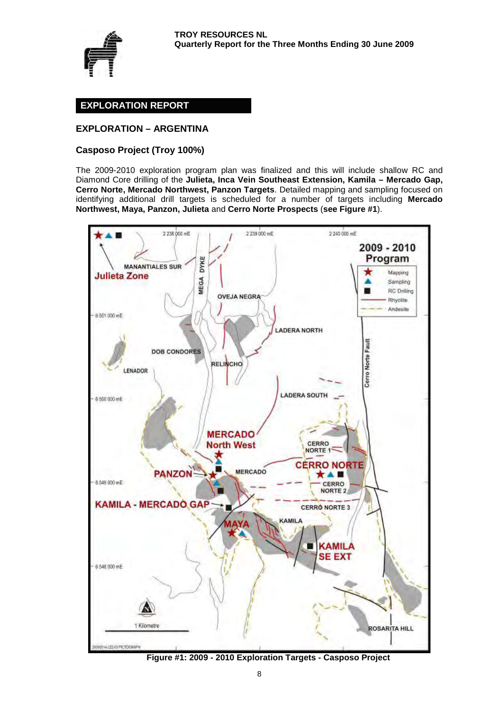

# **EXPLORATION REPORT**

# **EXPLORATION – ARGENTINA**

### **Casposo Project (Troy 100%)**

The 2009-2010 exploration program plan was finalized and this will include shallow RC and Diamond Core drilling of the **Julieta, Inca Vein Southeast Extension, Kamila – Mercado Gap, Cerro Norte, Mercado Northwest, Panzon Targets**. Detailed mapping and sampling focused on identifying additional drill targets is scheduled for a number of targets including **Mercado Northwest, Maya, Panzon, Julieta** and **Cerro Norte Prospects** (**see Figure #1**).



**Figure #1: 2009 - 2010 Exploration Targets - Casposo Project**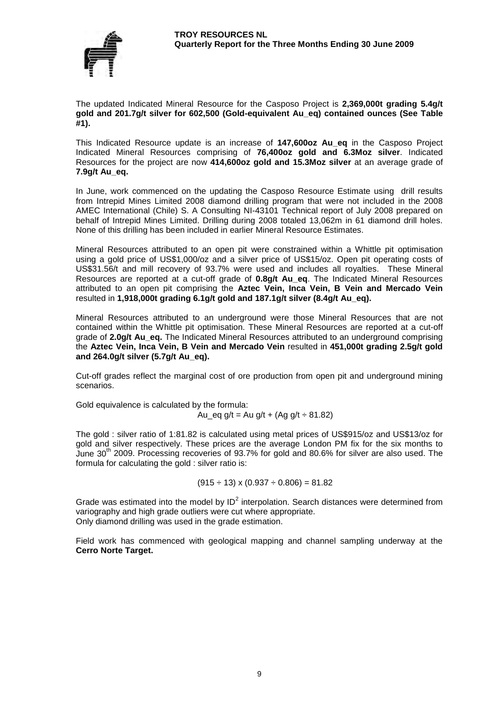

The updated Indicated Mineral Resource for the Casposo Project is **2,369,000t grading 5.4g/t gold and 201.7g/t silver for 602,500 (Gold-equivalent Au\_eq) contained ounces (See Table #1).** 

This Indicated Resource update is an increase of **147,600oz Au\_eq** in the Casposo Project Indicated Mineral Resources comprising of **76,400oz gold and 6.3Moz silver**. Indicated Resources for the project are now **414,600oz gold and 15.3Moz silver** at an average grade of **7.9g/t Au\_eq.**

In June, work commenced on the updating the Casposo Resource Estimate using drill results from Intrepid Mines Limited 2008 diamond drilling program that were not included in the 2008 AMEC International (Chile) S. A Consulting NI-43101 Technical report of July 2008 prepared on behalf of Intrepid Mines Limited. Drilling during 2008 totaled 13,062m in 61 diamond drill holes. None of this drilling has been included in earlier Mineral Resource Estimates.

Mineral Resources attributed to an open pit were constrained within a Whittle pit optimisation using a gold price of US\$1,000/oz and a silver price of US\$15/oz. Open pit operating costs of US\$31.56/t and mill recovery of 93.7% were used and includes all royalties. These Mineral Resources are reported at a cut-off grade of **0.8g/t Au\_eq**. The Indicated Mineral Resources attributed to an open pit comprising the **Aztec Vein, Inca Vein, B Vein and Mercado Vein**  resulted in **1,918,000t grading 6.1g/t gold and 187.1g/t silver (8.4g/t Au\_eq).** 

Mineral Resources attributed to an underground were those Mineral Resources that are not contained within the Whittle pit optimisation. These Mineral Resources are reported at a cut-off grade of **2.0g/t Au\_eq.** The Indicated Mineral Resources attributed to an underground comprising the **Aztec Vein, Inca Vein, B Vein and Mercado Vein** resulted in **451,000t grading 2.5g/t gold and 264.0g/t silver (5.7g/t Au\_eq).** 

Cut-off grades reflect the marginal cost of ore production from open pit and underground mining scenarios.

Gold equivalence is calculated by the formula:

Au eq g/t = Au g/t + (Ag g/t  $\div$  81.82)

The gold : silver ratio of 1:81.82 is calculated using metal prices of US\$915/oz and US\$13/oz for gold and silver respectively. These prices are the average London PM fix for the six months to June  $30<sup>th</sup>$  2009. Processing recoveries of 93.7% for gold and 80.6% for silver are also used. The formula for calculating the gold : silver ratio is:

 $(915 \div 13) \times (0.937 \div 0.806) = 81.82$ 

Grade was estimated into the model by  $ID^2$  interpolation. Search distances were determined from variography and high grade outliers were cut where appropriate. Only diamond drilling was used in the grade estimation.

Field work has commenced with geological mapping and channel sampling underway at the **Cerro Norte Target.**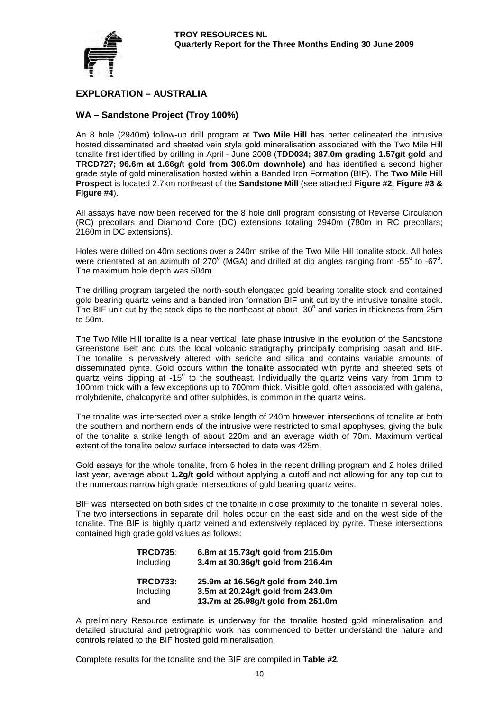

# **EXPLORATION – AUSTRALIA**

# **WA – Sandstone Project (Troy 100%)**

An 8 hole (2940m) follow-up drill program at **Two Mile Hill** has better delineated the intrusive hosted disseminated and sheeted vein style gold mineralisation associated with the Two Mile Hill tonalite first identified by drilling in April - June 2008 (**TDD034; 387.0m grading 1.57g/t gold** and **TRCD727; 96.6m at 1.66g/t gold from 306.0m downhole)** and has identified a second higher grade style of gold mineralisation hosted within a Banded Iron Formation (BIF). The **Two Mile Hill Prospect** is located 2.7km northeast of the **Sandstone Mill** (see attached **Figure #2, Figure #3 & Figure #4**).

All assays have now been received for the 8 hole drill program consisting of Reverse Circulation (RC) precollars and Diamond Core (DC) extensions totaling 2940m (780m in RC precollars; 2160m in DC extensions).

Holes were drilled on 40m sections over a 240m strike of the Two Mile Hill tonalite stock. All holes were orientated at an azimuth of 270 $^{\circ}$  (MGA) and drilled at dip angles ranging from -55 $^{\circ}$  to -67 $^{\circ}$ . The maximum hole depth was 504m.

The drilling program targeted the north-south elongated gold bearing tonalite stock and contained gold bearing quartz veins and a banded iron formation BIF unit cut by the intrusive tonalite stock. The BIF unit cut by the stock dips to the northeast at about -30 $^{\circ}$  and varies in thickness from 25m to 50m.

The Two Mile Hill tonalite is a near vertical, late phase intrusive in the evolution of the Sandstone Greenstone Belt and cuts the local volcanic stratigraphy principally comprising basalt and BIF. The tonalite is pervasively altered with sericite and silica and contains variable amounts of disseminated pyrite. Gold occurs within the tonalite associated with pyrite and sheeted sets of quartz veins dipping at  $-15^{\circ}$  to the southeast. Individually the quartz veins vary from 1mm to 100mm thick with a few exceptions up to 700mm thick. Visible gold, often associated with galena, molybdenite, chalcopyrite and other sulphides, is common in the quartz veins.

The tonalite was intersected over a strike length of 240m however intersections of tonalite at both the southern and northern ends of the intrusive were restricted to small apophyses, giving the bulk of the tonalite a strike length of about 220m and an average width of 70m. Maximum vertical extent of the tonalite below surface intersected to date was 425m.

Gold assays for the whole tonalite, from 6 holes in the recent drilling program and 2 holes drilled last year, average about **1.2g/t gold** without applying a cutoff and not allowing for any top cut to the numerous narrow high grade intersections of gold bearing quartz veins.

BIF was intersected on both sides of the tonalite in close proximity to the tonalite in several holes. The two intersections in separate drill holes occur on the east side and on the west side of the tonalite. The BIF is highly quartz veined and extensively replaced by pyrite. These intersections contained high grade gold values as follows:

| <b>TRCD735:</b> | 6.8m at 15.73g/t gold from 215.0m  |
|-----------------|------------------------------------|
| Including       | 3.4m at 30.36g/t gold from 216.4m  |
| <b>TRCD733:</b> | 25.9m at 16.56g/t gold from 240.1m |
| Including       | 3.5m at 20.24g/t gold from 243.0m  |
| and             | 13.7m at 25.98g/t gold from 251.0m |

A preliminary Resource estimate is underway for the tonalite hosted gold mineralisation and detailed structural and petrographic work has commenced to better understand the nature and controls related to the BIF hosted gold mineralisation.

Complete results for the tonalite and the BIF are compiled in **Table #2.**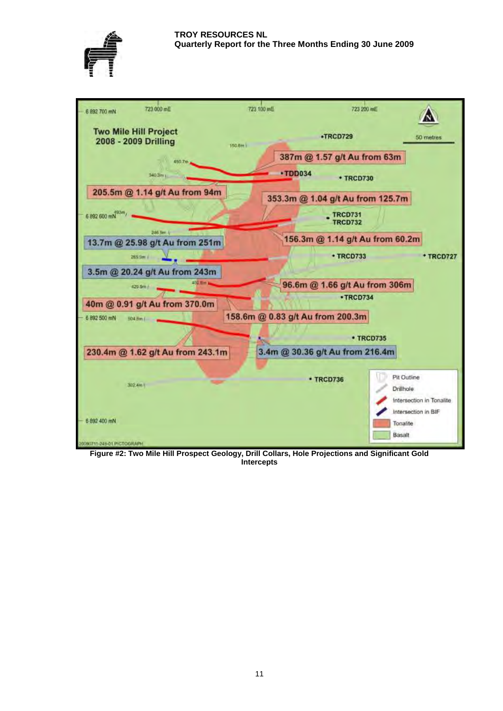



**Figure #2: Two Mile Hill Prospect Geology, Drill Collars, Hole Projections and Significant Gold Intercepts**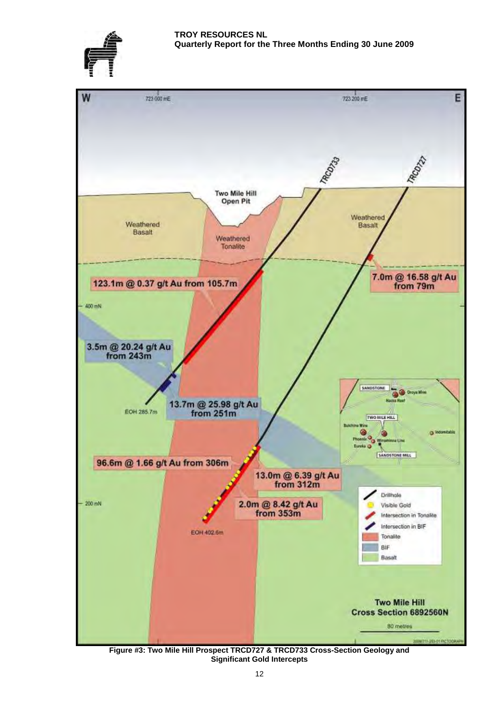



**Figure #3: Two Mile Hill Prospect TRCD727 & TRCD733 Cross-Section Geology and Significant Gold Intercepts**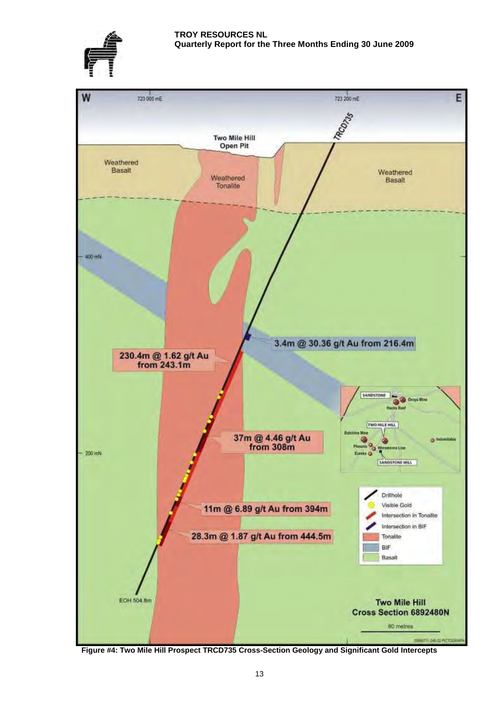



**Figure #4: Two Mile Hill Prospect TRCD735 Cross-Section Geology and Significant Gold Intercepts**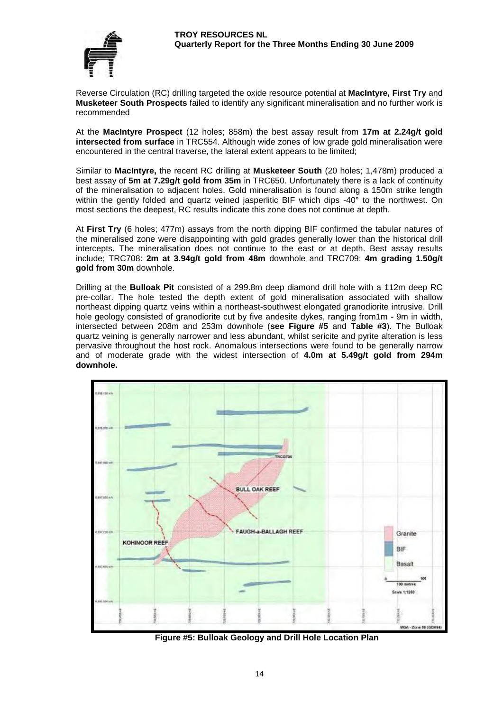

Reverse Circulation (RC) drilling targeted the oxide resource potential at **MacIntyre, First Try** and **Musketeer South Prospects** failed to identify any significant mineralisation and no further work is recommended

At the **MacIntyre Prospect** (12 holes; 858m) the best assay result from **17m at 2.24g/t gold intersected from surface** in TRC554. Although wide zones of low grade gold mineralisation were encountered in the central traverse, the lateral extent appears to be limited;

Similar to **MacIntyre,** the recent RC drilling at **Musketeer South** (20 holes; 1,478m) produced a best assay of **5m at 7.29g/t gold from 35m** in TRC650. Unfortunately there is a lack of continuity of the mineralisation to adjacent holes. Gold mineralisation is found along a 150m strike length within the gently folded and quartz veined jasperlitic BIF which dips  $-40^{\circ}$  to the northwest. On most sections the deepest, RC results indicate this zone does not continue at depth.

At **First Try** (6 holes; 477m) assays from the north dipping BIF confirmed the tabular natures of the mineralised zone were disappointing with gold grades generally lower than the historical drill intercepts. The mineralisation does not continue to the east or at depth. Best assay results include; TRC708: **2m at 3.94g/t gold from 48m** downhole and TRC709: **4m grading 1.50g/t gold from 30m** downhole.

Drilling at the **Bulloak Pit** consisted of a 299.8m deep diamond drill hole with a 112m deep RC pre-collar. The hole tested the depth extent of gold mineralisation associated with shallow northeast dipping quartz veins within a northeast-southwest elongated granodiorite intrusive. Drill hole geology consisted of granodiorite cut by five andesite dykes, ranging from1m - 9m in width, intersected between 208m and 253m downhole (**see Figure #5** and **Table #3**). The Bulloak quartz veining is generally narrower and less abundant, whilst sericite and pyrite alteration is less pervasive throughout the host rock. Anomalous intersections were found to be generally narrow and of moderate grade with the widest intersection of **4.0m at 5.49g/t gold from 294m downhole.**



**Figure #5: Bulloak Geology and Drill Hole Location Plan**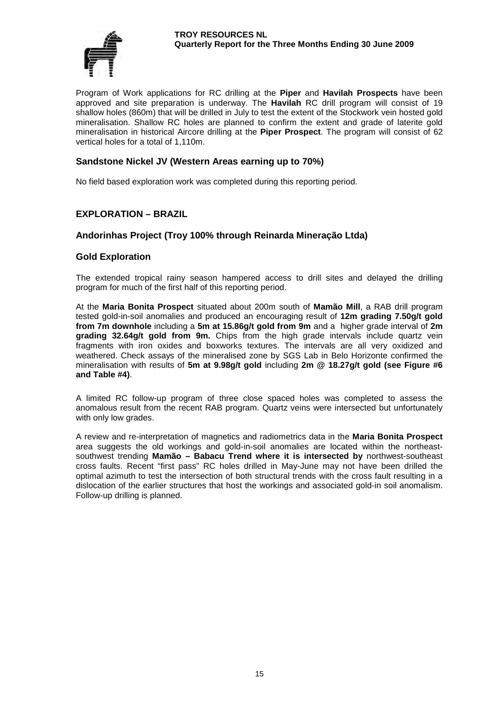#### **TROY RESOURCES NL Quarterly Report for the Three Months Ending 30 June 2009**



Program of Work applications for RC drilling at the **Piper** and **Havilah Prospects** have been approved and site preparation is underway. The **Havilah** RC drill program will consist of 19 shallow holes (860m) that will be drilled in July to test the extent of the Stockwork vein hosted gold mineralisation. Shallow RC holes are planned to confirm the extent and grade of laterite gold mineralisation in historical Aircore drilling at the **Piper Prospect**. The program will consist of 62 vertical holes for a total of 1,110m.

# **Sandstone Nickel JV (Western Areas earning up to 70%)**

No field based exploration work was completed during this reporting period.

# **EXPLORATION – BRAZIL**

# **Andorinhas Project (Troy 100% through Reinarda Mineração Ltda)**

### **Gold Exploration**

The extended tropical rainy season hampered access to drill sites and delayed the drilling program for much of the first half of this reporting period.

At the **Maria Bonita Prospect** situated about 200m south of **Mamão Mill**, a RAB drill program tested gold-in-soil anomalies and produced an encouraging result of **12m grading 7.50g/t gold from 7m downhole** including a **5m at 15.86g/t gold from 9m** and a higher grade interval of **2m grading 32.64g/t gold from 9m.** Chips from the high grade intervals include quartz vein fragments with iron oxides and boxworks textures. The intervals are all very oxidized and weathered. Check assays of the mineralised zone by SGS Lab in Belo Horizonte confirmed the mineralisation with results of **5m at 9.98g/t gold** including **2m @ 18.27g/t gold (see Figure #6 and Table #4)**.

A limited RC follow-up program of three close spaced holes was completed to assess the anomalous result from the recent RAB program. Quartz veins were intersected but unfortunately with only low grades.

A review and re-interpretation of magnetics and radiometrics data in the **Maria Bonita Prospect** area suggests the old workings and gold-in-soil anomalies are located within the northeastsouthwest trending **Mamão – Babacu Trend where it is intersected by** northwest-southeast cross faults. Recent "first pass" RC holes drilled in May-June may not have been drilled the optimal azimuth to test the intersection of both structural trends with the cross fault resulting in a dislocation of the earlier structures that host the workings and associated gold-in soil anomalism. Follow-up drilling is planned.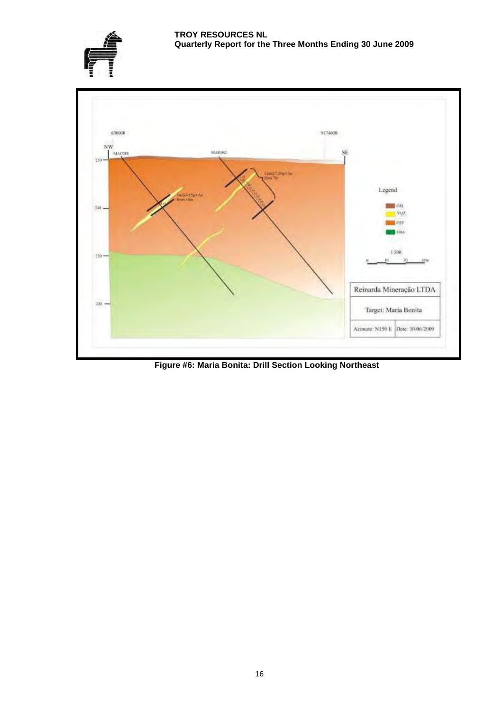



**Figure #6: Maria Bonita: Drill Section Looking Northeast**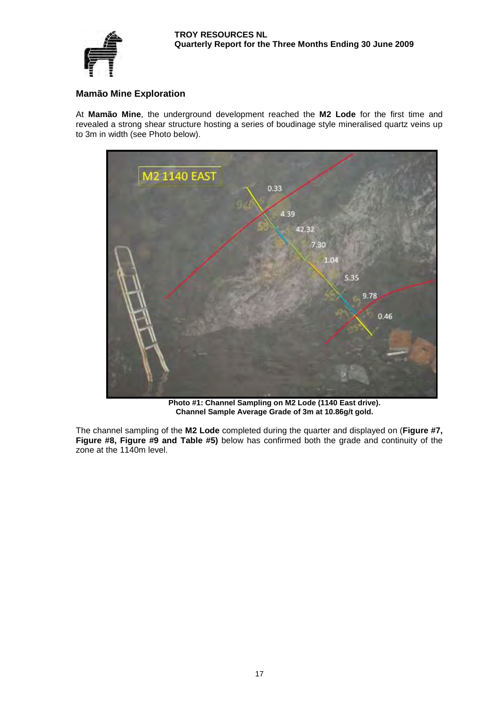

# **Mamão Mine Exploration**

At **Mamão Mine**, the underground development reached the **M2 Lode** for the first time and revealed a strong shear structure hosting a series of boudinage style mineralised quartz veins up to 3m in width (see Photo below).



**Photo #1: Channel Sampling on M2 Lode (1140 East drive). Channel Sample Average Grade of 3m at 10.86g/t gold.**

The channel sampling of the **M2 Lode** completed during the quarter and displayed on (**Figure #7, Figure #8, Figure #9 and Table #5)** below has confirmed both the grade and continuity of the zone at the 1140m level.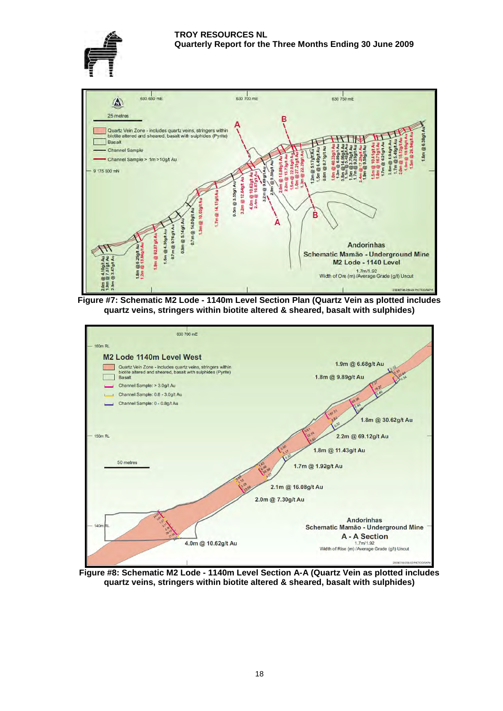







**Figure #8: Schematic M2 Lode - 1140m Level Section A-A (Quartz Vein as plotted includes quartz veins, stringers within biotite altered & sheared, basalt with sulphides)**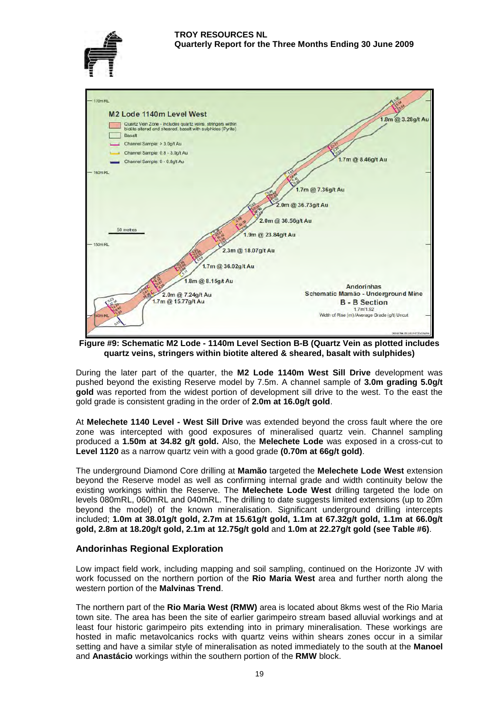



**Figure #9: Schematic M2 Lode - 1140m Level Section B-B (Quartz Vein as plotted includes quartz veins, stringers within biotite altered & sheared, basalt with sulphides)**

During the later part of the quarter, the **M2 Lode 1140m West Sill Drive** development was pushed beyond the existing Reserve model by 7.5m. A channel sample of **3.0m grading 5.0g/t gold** was reported from the widest portion of development sill drive to the west. To the east the gold grade is consistent grading in the order of **2.0m at 16.0g/t gold**.

At **Melechete 1140 Level - West Sill Drive** was extended beyond the cross fault where the ore zone was intercepted with good exposures of mineralised quartz vein. Channel sampling produced a **1.50m at 34.82 g/t gold.** Also, the **Melechete Lode** was exposed in a cross-cut to **Level 1120** as a narrow quartz vein with a good grade **(0.70m at 66g/t gold)**.

The underground Diamond Core drilling at **Mamão** targeted the **Melechete Lode West** extension beyond the Reserve model as well as confirming internal grade and width continuity below the existing workings within the Reserve. The **Melechete Lode West** drilling targeted the lode on levels 080mRL, 060mRL and 040mRL. The drilling to date suggests limited extensions (up to 20m beyond the model) of the known mineralisation. Significant underground drilling intercepts included; **1.0m at 38.01g/t gold, 2.7m at 15.61g/t gold, 1.1m at 67.32g/t gold, 1.1m at 66.0g/t gold, 2.8m at 18.20g/t gold, 2.1m at 12.75g/t gold** and **1.0m at 22.27g/t gold (see Table #6)**.

# **Andorinhas Regional Exploration**

Low impact field work, including mapping and soil sampling, continued on the Horizonte JV with work focussed on the northern portion of the **Rio Maria West** area and further north along the western portion of the **Malvinas Trend**.

The northern part of the **Rio Maria West (RMW)** area is located about 8kms west of the Rio Maria town site. The area has been the site of earlier garimpeiro stream based alluvial workings and at least four historic garimpeiro pits extending into in primary mineralisation. These workings are hosted in mafic metavolcanics rocks with quartz veins within shears zones occur in a similar setting and have a similar style of mineralisation as noted immediately to the south at the **Manoel** and **Anastácio** workings within the southern portion of the **RMW** block.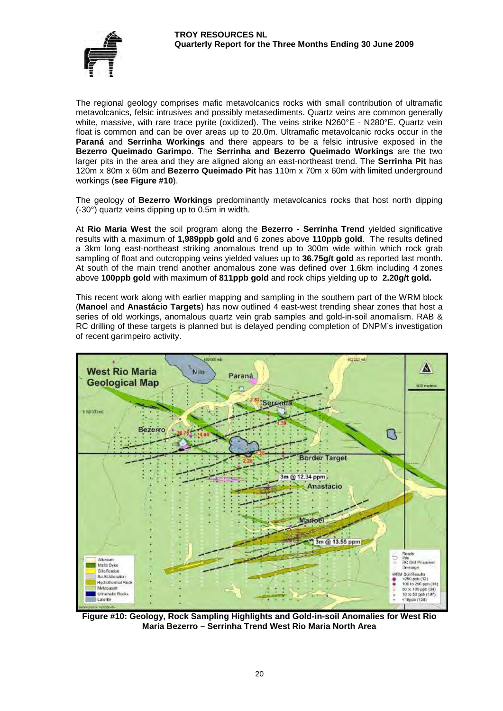

The regional geology comprises mafic metavolcanics rocks with small contribution of ultramafic metavolcanics, felsic intrusives and possibly metasediments. Quartz veins are common generally white, massive, with rare trace pyrite (oxidized). The veins strike N260°E - N280°E. Quartz vein float is common and can be over areas up to 20.0m. Ultramafic metavolcanic rocks occur in the **Paraná** and **Serrinha Workings** and there appears to be a felsic intrusive exposed in the **Bezerro Queimado Garimpo**. The **Serrinha and Bezerro Queimado Workings** are the two larger pits in the area and they are aligned along an east-northeast trend. The **Serrinha Pit** has 120m x 80m x 60m and **Bezerro Queimado Pit** has 110m x 70m x 60m with limited underground workings (**see Figure #10**).

The geology of **Bezerro Workings** predominantly metavolcanics rocks that host north dipping (-30°) quartz veins dipping up to 0.5m in width.

At **Rio Maria West** the soil program along the **Bezerro - Serrinha Trend** yielded significative results with a maximum of **1,989ppb gold** and 6 zones above **110ppb gold**. The results defined a 3km long east-northeast striking anomalous trend up to 300m wide within which rock grab sampling of float and outcropping veins yielded values up to **36.75g/t gold** as reported last month. At south of the main trend another anomalous zone was defined over 1.6km including 4 zones above **100ppb gold** with maximum of **811ppb gold** and rock chips yielding up to **2.20g/t gold.**

This recent work along with earlier mapping and sampling in the southern part of the WRM block (**Manoel** and **Anastácio Targets**) has now outlined 4 east-west trending shear zones that host a series of old workings, anomalous quartz vein grab samples and gold-in-soil anomalism. RAB & RC drilling of these targets is planned but is delayed pending completion of DNPM's investigation of recent garimpeiro activity.



**Figure #10: Geology, Rock Sampling Highlights and Gold-in-soil Anomalies for West Rio Maria Bezerro – Serrinha Trend West Rio Maria North Area**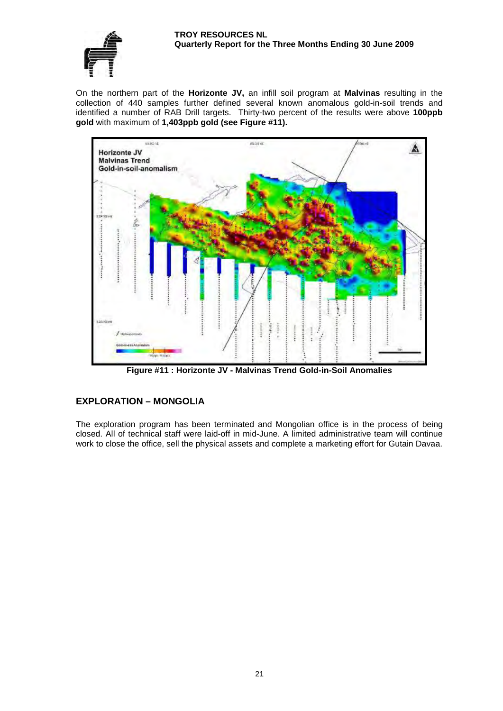#### **TROY RESOURCES NL Quarterly Report for the Three Months Ending 30 June 2009**



On the northern part of the **Horizonte JV,** an infill soil program at **Malvinas** resulting in the collection of 440 samples further defined several known anomalous gold-in-soil trends and identified a number of RAB Drill targets. Thirty-two percent of the results were above **100ppb gold** with maximum of **1,403ppb gold (see Figure #11).** 



**Figure #11 : Horizonte JV - Malvinas Trend Gold-in-Soil Anomalies**

# **EXPLORATION – MONGOLIA**

The exploration program has been terminated and Mongolian office is in the process of being closed. All of technical staff were laid-off in mid-June. A limited administrative team will continue work to close the office, sell the physical assets and complete a marketing effort for Gutain Davaa.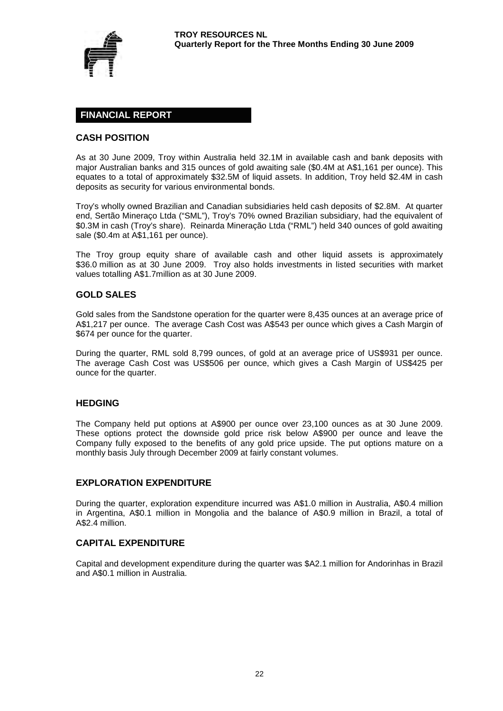

# **FINANCIAL REPORT**

# **CASH POSITION**

As at 30 June 2009, Troy within Australia held 32.1M in available cash and bank deposits with major Australian banks and 315 ounces of gold awaiting sale (\$0.4M at A\$1,161 per ounce). This equates to a total of approximately \$32.5M of liquid assets. In addition, Troy held \$2.4M in cash deposits as security for various environmental bonds.

Troy's wholly owned Brazilian and Canadian subsidiaries held cash deposits of \$2.8M. At quarter end, Sertão Mineraço Ltda ("SML"), Troy's 70% owned Brazilian subsidiary, had the equivalent of \$0.3M in cash (Troy's share). Reinarda Mineração Ltda ("RML") held 340 ounces of gold awaiting sale (\$0.4m at A\$1,161 per ounce).

The Troy group equity share of available cash and other liquid assets is approximately \$36.0 million as at 30 June 2009. Trov also holds investments in listed securities with market values totalling A\$1.7million as at 30 June 2009.

### **GOLD SALES**

Gold sales from the Sandstone operation for the quarter were 8,435 ounces at an average price of A\$1,217 per ounce. The average Cash Cost was A\$543 per ounce which gives a Cash Margin of \$674 per ounce for the quarter.

During the quarter, RML sold 8,799 ounces, of gold at an average price of US\$931 per ounce. The average Cash Cost was US\$506 per ounce, which gives a Cash Margin of US\$425 per ounce for the quarter.

#### **HEDGING**

The Company held put options at A\$900 per ounce over 23,100 ounces as at 30 June 2009. These options protect the downside gold price risk below A\$900 per ounce and leave the Company fully exposed to the benefits of any gold price upside. The put options mature on a monthly basis July through December 2009 at fairly constant volumes.

#### **EXPLORATION EXPENDITURE**

During the quarter, exploration expenditure incurred was A\$1.0 million in Australia, A\$0.4 million in Argentina, A\$0.1 million in Mongolia and the balance of A\$0.9 million in Brazil, a total of A\$2.4 million.

#### **CAPITAL EXPENDITURE**

Capital and development expenditure during the quarter was \$A2.1 million for Andorinhas in Brazil and A\$0.1 million in Australia.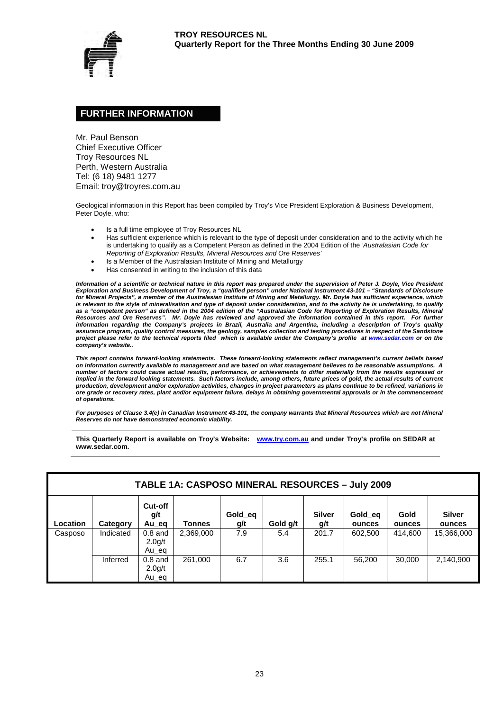

# **FURTHER INFORMATION**

Mr. Paul Benson Chief Executive Officer Troy Resources NL Perth, Western Australia Tel: (6 18) 9481 1277 Email: troy@troyres.com.au

Geological information in this Report has been compiled by Troy's Vice President Exploration & Business Development, Peter Doyle, who:

- Is a full time employee of Troy Resources NL
- Has sufficient experience which is relevant to the type of deposit under consideration and to the activity which he is undertaking to qualify as a Competent Person as defined in the 2004 Edition of the *'Australasian Code for Reporting of Exploration Results, Mineral Resources and Ore Reserves'*
- Is a Member of the Australasian Institute of Mining and Metallurgy
- Has consented in writing to the inclusion of this data

*Information of a scientific or technical nature in this report was prepared under the supervision of Peter J. Doyle, Vice President Exploration and Business Development of Troy, a "qualified person" under National Instrument 43-101 – "Standards of Disclosure for Mineral Projects", a member of the Australasian Institute of Mining and Metallurgy. Mr. Doyle has sufficient experience, which is relevant to the style of mineralisation and type of deposit under consideration, and to the activity he is undertaking, to qualify as a "competent person" as defined in the 2004 edition of the "Australasian Code for Reporting of Exploration Results, Mineral Resources and Ore Reserves". Mr. Doyle has reviewed and approved the information contained in this report. For further information regarding the Company's projects in Brazil, Australia and Argentina, including a description of Troy's quality assurance program, quality control measures, the geology, samples collection and testing procedures in respect of the Sandstone project please refer to the technical reports filed which is available under the Company's profile at [www.sedar.com](http://www.sedar.com/) or on the company's website..*

*This report contains forward-looking statements. These forward-looking statements reflect management's current beliefs based on information currently available to management and are based on what management believes to be reasonable assumptions. A number of factors could cause actual results, performance, or achievements to differ materially from the results expressed or* implied in the forward looking statements. Such factors include, among others, future prices of gold, the actual results of current *production, development and/or exploration activities, changes in project parameters as plans continue to be refined, variations in ore grade or recovery rates, plant and/or equipment failure, delays in obtaining governmental approvals or in the commencement of operations.* 

*For purposes of Clause 3.4(e) in Canadian Instrument 43-101, the company warrants that Mineral Resources which are not Mineral Reserves do not have demonstrated economic viability.*

**This Quarterly Report is available on Troy's Website: [www.try.com.au](http://www.try.com.au/) and under Troy's profile on SEDAR at www.sedar.com.**

|          | <b>TABLE 1A: CASPOSO MINERAL RESOURCES - July 2009</b> |                                           |               |                |          |                      |                   |                |                         |  |  |
|----------|--------------------------------------------------------|-------------------------------------------|---------------|----------------|----------|----------------------|-------------------|----------------|-------------------------|--|--|
| Location | Category                                               | Cut-off<br>g/t<br>Au_eq                   | <b>Tonnes</b> | Gold_eq<br>g/t | Gold g/t | <b>Silver</b><br>g/t | Gold eq<br>ounces | Gold<br>ounces | <b>Silver</b><br>ounces |  |  |
| Casposo  | Indicated                                              | $0.8$ and<br>2.0 <sub>g</sub> /t<br>Au_eq | 2,369,000     | 7.9            | 5.4      | 201.7                | 602,500           | 414.600        | 15,366,000              |  |  |
|          | Inferred                                               | $0.8$ and<br>2.0 <sub>g</sub> /t<br>Au_eq | 261,000       | 6.7            | 3.6      | 255.1                | 56.200            | 30,000         | 2,140,900               |  |  |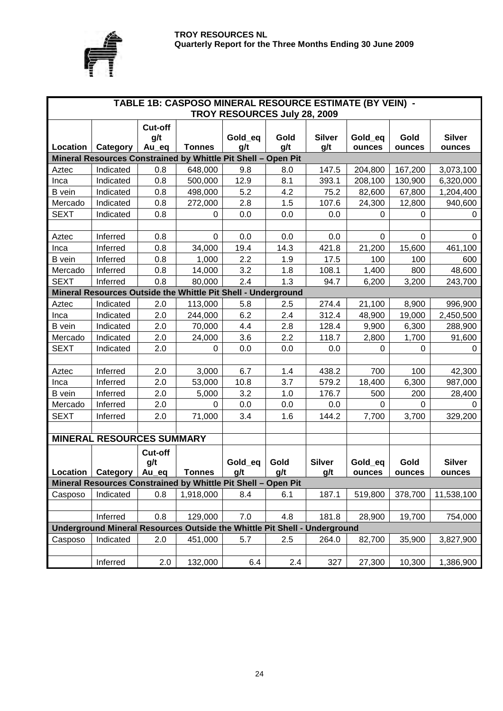



|               |                                  |              | TABLE 1B: CASPOSO MINERAL RESOURCE ESTIMATE (BY VEIN) -                   |                              |         |               |          |          |               |
|---------------|----------------------------------|--------------|---------------------------------------------------------------------------|------------------------------|---------|---------------|----------|----------|---------------|
|               |                                  |              |                                                                           | TROY RESOURCES July 28, 2009 |         |               |          |          |               |
|               |                                  | Cut-off      |                                                                           | Gold_eq                      | Gold    | <b>Silver</b> | Gold_eq  | Gold     | <b>Silver</b> |
| Location      | Category                         | g/t<br>Au eq | <b>Tonnes</b>                                                             | g/t                          | g/t     | g/t           | ounces   | ounces   | ounces        |
|               |                                  |              | Mineral Resources Constrained by Whittle Pit Shell - Open Pit             |                              |         |               |          |          |               |
| Aztec         | Indicated                        | 0.8          | 648,000                                                                   | 9.8                          | 8.0     | 147.5         | 204,800  | 167,200  | 3,073,100     |
| Inca          | Indicated                        | 0.8          | 500,000                                                                   | 12.9                         | 8.1     | 393.1         | 208,100  | 130,900  | 6,320,000     |
| <b>B</b> vein | Indicated                        | 0.8          | 498,000                                                                   | 5.2                          | 4.2     | 75.2          | 82,600   | 67,800   | 1,204,400     |
| Mercado       | Indicated                        | 0.8          | 272,000                                                                   | 2.8                          | 1.5     | 107.6         | 24,300   | 12,800   | 940,600       |
| <b>SEXT</b>   | Indicated                        | 0.8          | 0                                                                         | 0.0                          | 0.0     | 0.0           | 0        | 0        | 0             |
|               |                                  |              |                                                                           |                              |         |               |          |          |               |
| Aztec         | Inferred                         | 0.8          | 0                                                                         | 0.0                          | 0.0     | 0.0           | 0        | 0        | $\Omega$      |
| Inca          | Inferred                         | 0.8          | 34,000                                                                    | 19.4                         | 14.3    | 421.8         | 21,200   | 15,600   | 461,100       |
| <b>B</b> vein | Inferred                         | 0.8          | 1,000                                                                     | 2.2                          | 1.9     | 17.5          | 100      | 100      | 600           |
| Mercado       | Inferred                         | 0.8          | 14,000                                                                    | 3.2                          | 1.8     | 108.1         | 1,400    | 800      | 48,600        |
| <b>SEXT</b>   | Inferred                         | 0.8          | 80,000                                                                    | 2.4                          | 1.3     | 94.7          | 6,200    | 3,200    | 243,700       |
|               |                                  |              | Mineral Resources Outside the Whittle Pit Shell - Underground             |                              |         |               |          |          |               |
| Aztec         | Indicated                        | 2.0          | 113,000                                                                   | 5.8                          | 2.5     | 274.4         | 21,100   | 8,900    | 996,900       |
| Inca          | Indicated                        | 2.0          | 244,000                                                                   | 6.2                          | 2.4     | 312.4         | 48,900   | 19,000   | 2,450,500     |
| <b>B</b> vein | Indicated                        | 2.0          | 70,000                                                                    | 4.4                          | 2.8     | 128.4         | 9,900    | 6,300    | 288,900       |
| Mercado       | Indicated                        | 2.0          | 24,000                                                                    | 3.6                          | 2.2     | 118.7         | 2,800    | 1,700    | 91,600        |
| <b>SEXT</b>   | Indicated                        | 2.0          | 0                                                                         | 0.0                          | 0.0     | 0.0           | $\Omega$ | $\Omega$ | 0             |
|               |                                  |              |                                                                           |                              |         |               |          |          |               |
| Aztec         | Inferred                         | 2.0          | 3,000                                                                     | 6.7                          | 1.4     | 438.2         | 700      | 100      | 42,300        |
| Inca          | Inferred                         | 2.0          | 53,000                                                                    | 10.8                         | 3.7     | 579.2         | 18,400   | 6,300    | 987,000       |
| <b>B</b> vein | Inferred                         | 2.0          | 5,000                                                                     | 3.2                          | 1.0     | 176.7         | 500      | 200      | 28,400        |
| Mercado       | Inferred                         | 2.0          | $\Omega$                                                                  | 0.0                          | $0.0\,$ | 0.0           | 0        | 0        | 0             |
| <b>SEXT</b>   | Inferred                         | 2.0          | 71,000                                                                    | 3.4                          | 1.6     | 144.2         | 7,700    | 3,700    | 329,200       |
|               |                                  |              |                                                                           |                              |         |               |          |          |               |
|               | <b>MINERAL RESOURCES SUMMARY</b> |              |                                                                           |                              |         |               |          |          |               |
|               |                                  | Cut-off      |                                                                           |                              |         |               |          |          |               |
|               |                                  | g/t          |                                                                           | Gold_eq                      | Gold    | <b>Silver</b> | Gold_eq  | Gold     | <b>Silver</b> |
| Location      | Category   Au_eq                 |              | Tonnes                                                                    | g/t                          | g/t     | g/t           | ounces   | ounces   | ounces        |
|               |                                  |              | Mineral Resources Constrained by Whittle Pit Shell - Open Pit             |                              |         |               |          |          |               |
| Casposo       | Indicated                        | 0.8          | 1,918,000                                                                 | 8.4                          | 6.1     | 187.1         | 519,800  | 378,700  | 11,538,100    |
|               |                                  |              |                                                                           |                              |         |               |          |          |               |
|               | Inferred                         | 0.8          | 129,000                                                                   | 7.0                          | 4.8     | 181.8         | 28,900   | 19,700   | 754,000       |
|               |                                  |              | Underground Mineral Resources Outside the Whittle Pit Shell - Underground |                              |         |               |          |          |               |
| Casposo       | Indicated                        | 2.0          | 451,000                                                                   | 5.7                          | 2.5     | 264.0         | 82,700   | 35,900   | 3,827,900     |
|               | Inferred                         | 2.0          | 132,000                                                                   | 6.4                          | 2.4     | 327           | 27,300   | 10,300   | 1,386,900     |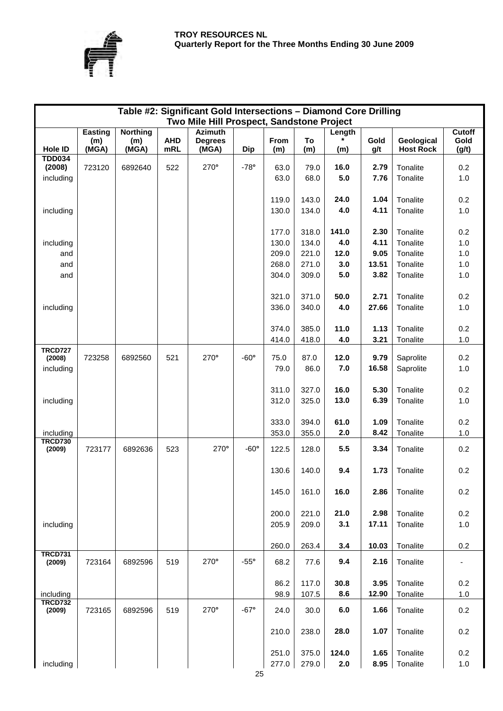

|                          |                                |                                 |                   | Table #2: Significant Gold Intersections - Diamond Core Drilling |               |             |           |               |              |                                |                                |
|--------------------------|--------------------------------|---------------------------------|-------------------|------------------------------------------------------------------|---------------|-------------|-----------|---------------|--------------|--------------------------------|--------------------------------|
|                          |                                |                                 |                   | Two Mile Hill Prospect, Sandstone Project                        |               |             |           |               |              |                                |                                |
| Hole ID                  | <b>Easting</b><br>(m)<br>(MGA) | <b>Northing</b><br>(m)<br>(MGA) | <b>AHD</b><br>mRL | <b>Azimuth</b><br><b>Degrees</b><br>(MGA)                        | <b>Dip</b>    | From<br>(m) | To<br>(m) | Length<br>(m) | Gold<br>g/t  | Geological<br><b>Host Rock</b> | <b>Cutoff</b><br>Gold<br>(g/t) |
| <b>TDD034</b><br>(2008)  | 723120                         | 6892640                         | 522               | $270^\circ$                                                      | $-78°$        | 63.0        | 79.0      | 16.0          | 2.79         | Tonalite                       | 0.2                            |
| including                |                                |                                 |                   |                                                                  |               | 63.0        | 68.0      | 5.0           | 7.76         | Tonalite                       | 1.0                            |
|                          |                                |                                 |                   |                                                                  |               |             |           |               |              |                                |                                |
|                          |                                |                                 |                   |                                                                  |               | 119.0       | 143.0     | 24.0          | 1.04         | Tonalite                       | 0.2                            |
| including                |                                |                                 |                   |                                                                  |               | 130.0       | 134.0     | 4.0           | 4.11         | Tonalite                       | 1.0                            |
|                          |                                |                                 |                   |                                                                  |               |             |           |               |              |                                |                                |
|                          |                                |                                 |                   |                                                                  |               | 177.0       | 318.0     | 141.0         | 2.30         | Tonalite                       | 0.2                            |
| including                |                                |                                 |                   |                                                                  |               | 130.0       | 134.0     | 4.0           | 4.11         | Tonalite                       | 1.0                            |
| and                      |                                |                                 |                   |                                                                  |               | 209.0       | 221.0     | 12.0          | 9.05         | Tonalite                       | 1.0                            |
| and                      |                                |                                 |                   |                                                                  |               | 268.0       | 271.0     | 3.0           | 13.51        | Tonalite                       | 1.0                            |
| and                      |                                |                                 |                   |                                                                  |               | 304.0       | 309.0     | 5.0           | 3.82         | Tonalite                       | 1.0                            |
|                          |                                |                                 |                   |                                                                  |               |             |           |               |              |                                |                                |
|                          |                                |                                 |                   |                                                                  |               | 321.0       | 371.0     | 50.0          | 2.71         | Tonalite                       | 0.2                            |
| including                |                                |                                 |                   |                                                                  |               | 336.0       | 340.0     | 4.0           | 27.66        | Tonalite                       | 1.0                            |
|                          |                                |                                 |                   |                                                                  |               |             |           |               |              |                                |                                |
|                          |                                |                                 |                   |                                                                  |               | 374.0       | 385.0     | 11.0          | 1.13         | Tonalite                       | 0.2                            |
|                          |                                |                                 |                   |                                                                  |               | 414.0       | 418.0     | 4.0           | 3.21         | Tonalite                       | 1.0                            |
| <b>TRCD727</b><br>(2008) | 723258                         | 6892560                         | 521               | $270^\circ$                                                      | $-60^\circ$   | 75.0        | 87.0      | 12.0          | 9.79         | Saprolite                      | 0.2                            |
| including                |                                |                                 |                   |                                                                  |               | 79.0        | 86.0      | 7.0           | 16.58        | Saprolite                      | 1.0                            |
|                          |                                |                                 |                   |                                                                  |               |             |           |               |              |                                |                                |
|                          |                                |                                 |                   |                                                                  |               | 311.0       | 327.0     | 16.0          | 5.30         | Tonalite                       | 0.2                            |
| including                |                                |                                 |                   |                                                                  |               | 312.0       | 325.0     | 13.0          | 6.39         | Tonalite                       | 1.0                            |
|                          |                                |                                 |                   |                                                                  |               |             |           |               |              |                                |                                |
|                          |                                |                                 |                   |                                                                  |               | 333.0       | 394.0     | 61.0          | 1.09         | Tonalite                       | 0.2                            |
| including                |                                |                                 |                   |                                                                  |               | 353.0       | 355.0     | 2.0           | 8.42         | Tonalite                       | 1.0                            |
| <b>TRCD730</b><br>(2009) | 723177                         | 6892636                         | 523               | 270°                                                             | $-60^\circ$   | 122.5       | 128.0     | 5.5           | 3.34         | Tonalite                       | 0.2                            |
|                          |                                |                                 |                   |                                                                  |               |             |           |               |              |                                |                                |
|                          |                                |                                 |                   |                                                                  |               | 130.6       | 140.0     | 9.4           | 1.73         | Tonalite                       | 0.2                            |
|                          |                                |                                 |                   |                                                                  |               |             |           |               |              |                                |                                |
|                          |                                |                                 |                   |                                                                  |               | 145.0       | 161.0     | 16.0          | 2.86         | Tonalite                       | 0.2                            |
|                          |                                |                                 |                   |                                                                  |               |             |           |               |              |                                |                                |
|                          |                                |                                 |                   |                                                                  |               | 200.0       | 221.0     | 21.0          | 2.98         | Tonalite                       | 0.2                            |
| including                |                                |                                 |                   |                                                                  |               | 205.9       | 209.0     | 3.1           | 17.11        | Tonalite                       | 1.0                            |
|                          |                                |                                 |                   |                                                                  |               |             |           |               |              |                                |                                |
|                          |                                |                                 |                   |                                                                  |               | 260.0       | 263.4     | 3.4           | 10.03        | Tonalite                       | 0.2                            |
| <b>TRCD731</b><br>(2009) | 723164                         | 6892596                         | 519               | $270^\circ$                                                      | $-55^{\circ}$ | 68.2        | 77.6      | 9.4           | 2.16         | Tonalite                       |                                |
|                          |                                |                                 |                   |                                                                  |               |             |           |               |              |                                |                                |
|                          |                                |                                 |                   |                                                                  |               | 86.2        | 117.0     | 30.8          | 3.95         | Tonalite                       | 0.2                            |
| including                |                                |                                 |                   |                                                                  |               | 98.9        | 107.5     | 8.6           | 12.90        | Tonalite                       | 1.0                            |
| <b>TRCD732</b>           |                                |                                 |                   |                                                                  |               |             |           |               |              |                                |                                |
| (2009)                   | 723165                         | 6892596                         | 519               | $270^\circ$                                                      | $-67^\circ$   | 24.0        | 30.0      | 6.0           | 1.66         | Tonalite                       | 0.2                            |
|                          |                                |                                 |                   |                                                                  |               |             |           |               |              |                                |                                |
|                          |                                |                                 |                   |                                                                  |               | 210.0       | 238.0     | 28.0          | 1.07         | Tonalite                       | 0.2                            |
|                          |                                |                                 |                   |                                                                  |               |             |           |               |              |                                | 0.2                            |
|                          |                                |                                 |                   |                                                                  |               | 251.0       | 375.0     | 124.0<br>2.0  | 1.65<br>8.95 | Tonalite                       |                                |
| including                |                                |                                 |                   |                                                                  |               | 277.0       | 279.0     |               |              | Tonalite                       | $1.0$                          |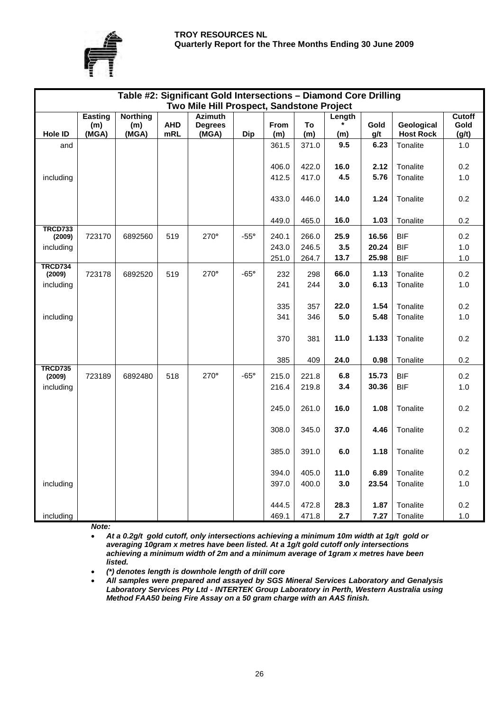### **TROY RESOURCES NL Quarterly Report for the Three Months Ending 30 June 2009**



|                          |                |                 |            | Table #2: Significant Gold Intersections - Diamond Core Drilling |             |       |       |        |       |                  |                |
|--------------------------|----------------|-----------------|------------|------------------------------------------------------------------|-------------|-------|-------|--------|-------|------------------|----------------|
|                          |                |                 |            | Two Mile Hill Prospect, Sandstone Project                        |             |       |       |        |       |                  |                |
|                          | <b>Easting</b> | <b>Northing</b> | <b>AHD</b> | <b>Azimuth</b>                                                   |             | From  | To    | Length | Gold  | Geological       | Cutoff<br>Gold |
| <b>Hole ID</b>           | (m)<br>(MGA)   | (m)<br>(MGA)    | mRL        | <b>Degrees</b><br>(MGA)                                          | <b>Dip</b>  | (m)   | (m)   | (m)    | g/t   | <b>Host Rock</b> | (g/t)          |
| and                      |                |                 |            |                                                                  |             | 361.5 | 371.0 | 9.5    | 6.23  | Tonalite         | 1.0            |
|                          |                |                 |            |                                                                  |             |       |       |        |       |                  |                |
|                          |                |                 |            |                                                                  |             | 406.0 | 422.0 | 16.0   | 2.12  | Tonalite         | 0.2            |
| including                |                |                 |            |                                                                  |             | 412.5 | 417.0 | 4.5    | 5.76  | Tonalite         | 1.0            |
|                          |                |                 |            |                                                                  |             |       |       |        |       |                  |                |
|                          |                |                 |            |                                                                  |             | 433.0 | 446.0 | 14.0   | 1.24  | Tonalite         | 0.2            |
|                          |                |                 |            |                                                                  |             |       |       |        |       |                  |                |
|                          |                |                 |            |                                                                  |             | 449.0 | 465.0 | 16.0   | 1.03  | Tonalite         | 0.2            |
| <b>TRCD733</b>           | 723170         | 6892560         | 519        | $270^\circ$                                                      | $-55^\circ$ | 240.1 | 266.0 | 25.9   | 16.56 | <b>BIF</b>       | 0.2            |
| (2009)                   |                |                 |            |                                                                  |             | 243.0 | 246.5 | 3.5    | 20.24 | <b>BIF</b>       | 1.0            |
| including                |                |                 |            |                                                                  |             | 251.0 | 264.7 | 13.7   | 25.98 | <b>BIF</b>       | 1.0            |
| <b>TRCD734</b>           |                |                 |            |                                                                  |             |       |       |        |       |                  |                |
| (2009)                   | 723178         | 6892520         | 519        | $270^\circ$                                                      | $-65^\circ$ | 232   | 298   | 66.0   | 1.13  | Tonalite         | 0.2            |
| including                |                |                 |            |                                                                  |             | 241   | 244   | 3.0    | 6.13  | Tonalite         | 1.0            |
|                          |                |                 |            |                                                                  |             |       |       |        |       |                  |                |
|                          |                |                 |            |                                                                  |             | 335   | 357   | 22.0   | 1.54  | Tonalite         | 0.2            |
| including                |                |                 |            |                                                                  |             | 341   | 346   | 5.0    | 5.48  | Tonalite         | 1.0            |
|                          |                |                 |            |                                                                  |             |       |       |        |       |                  |                |
|                          |                |                 |            |                                                                  |             | 370   | 381   | 11.0   | 1.133 | Tonalite         | 0.2            |
|                          |                |                 |            |                                                                  |             |       |       |        |       |                  |                |
|                          |                |                 |            |                                                                  |             | 385   | 409   | 24.0   | 0.98  | Tonalite         | 0.2            |
| <b>TRCD735</b><br>(2009) | 723189         | 6892480         | 518        | 270°                                                             | $-65^\circ$ | 215.0 | 221.8 | 6.8    | 15.73 | <b>BIF</b>       | 0.2            |
| including                |                |                 |            |                                                                  |             | 216.4 | 219.8 | 3.4    | 30.36 | <b>BIF</b>       | 1.0            |
|                          |                |                 |            |                                                                  |             |       |       |        |       |                  |                |
|                          |                |                 |            |                                                                  |             | 245.0 | 261.0 | 16.0   | 1.08  | Tonalite         | 0.2            |
|                          |                |                 |            |                                                                  |             |       |       |        |       |                  |                |
|                          |                |                 |            |                                                                  |             | 308.0 | 345.0 | 37.0   | 4.46  | Tonalite         | 0.2            |
|                          |                |                 |            |                                                                  |             |       |       |        |       |                  |                |
|                          |                |                 |            |                                                                  |             | 385.0 | 391.0 | 6.0    | 1.18  | Tonalite         | 0.2            |
|                          |                |                 |            |                                                                  |             |       |       |        |       |                  |                |
|                          |                |                 |            |                                                                  |             | 394.0 | 405.0 | 11.0   | 6.89  | Tonalite         | 0.2            |
| including                |                |                 |            |                                                                  |             | 397.0 | 400.0 | 3.0    | 23.54 | Tonalite         | 1.0            |
|                          |                |                 |            |                                                                  |             |       |       |        |       |                  |                |
|                          |                |                 |            |                                                                  |             | 444.5 | 472.8 | 28.3   | 1.87  | Tonalite         | 0.2            |
| including                |                |                 |            |                                                                  |             | 469.1 | 471.8 | 2.7    | 7.27  | Tonalite         | 1.0            |

*Note:* 

• *At a 0.2g/t gold cutoff, only intersections achieving a minimum 10m width at 1g/t gold or averaging 10gram x metres have been listed. At a 1g/t gold cutoff only intersections achieving a minimum width of 2m and a minimum average of 1gram x metres have been listed.*

• *(\*) denotes length is downhole length of drill core*

• *All samples were prepared and assayed by SGS Mineral Services Laboratory and Genalysis Laboratory Services Pty Ltd - INTERTEK Group Laboratory in Perth, Western Australia using Method FAA50 being Fire Assay on a 50 gram charge with an AAS finish.*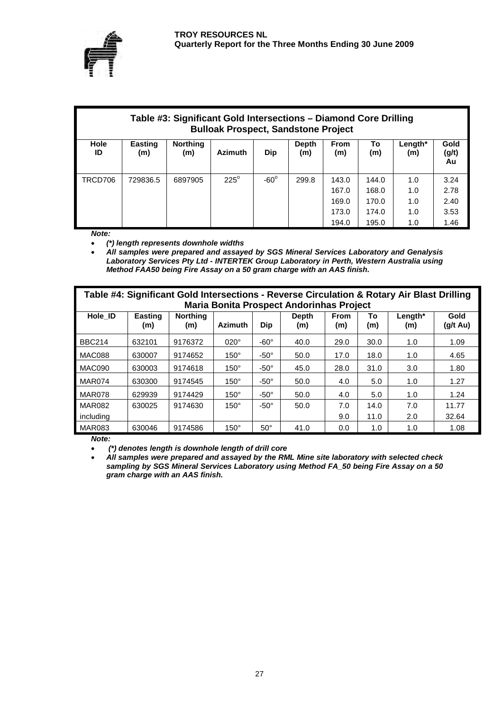

| Table #3: Significant Gold Intersections – Diamond Core Drilling<br><b>Bulloak Prospect, Sandstone Project</b> |                       |                        |                |             |              |                                           |                                           |                                 |                                      |  |  |
|----------------------------------------------------------------------------------------------------------------|-----------------------|------------------------|----------------|-------------|--------------|-------------------------------------------|-------------------------------------------|---------------------------------|--------------------------------------|--|--|
| Hole<br>ID                                                                                                     | <b>Easting</b><br>(m) | <b>Northing</b><br>(m) | <b>Azimuth</b> | <b>Dip</b>  | Depth<br>(m) | <b>From</b><br>(m)                        | To<br>(m)                                 | Length*<br>(m)                  | Gold<br>(g/t)<br>Au                  |  |  |
| TRCD706                                                                                                        | 729836.5              | 6897905                | $225^\circ$    | $-60^\circ$ | 299.8        | 143.0<br>167.0<br>169.0<br>173.0<br>194.0 | 144.0<br>168.0<br>170.0<br>174.0<br>195.0 | 1.0<br>1.0<br>1.0<br>1.0<br>1.0 | 3.24<br>2.78<br>2.40<br>3.53<br>1.46 |  |  |

*Note:*

• *(\*) length represents downhole widths*

• *All samples were prepared and assayed by SGS Mineral Services Laboratory and Genalysis Laboratory Services Pty Ltd - INTERTEK Group Laboratory in Perth, Western Australia using Method FAA50 being Fire Assay on a 50 gram charge with an AAS finish.*

| Table #4: Significant Gold Intersections - Reverse Circulation & Rotary Air Blast Drilling<br><b>Maria Bonita Prospect Andorinhas Project</b> |                       |                        |                |             |                     |                    |           |                |                            |  |  |
|-----------------------------------------------------------------------------------------------------------------------------------------------|-----------------------|------------------------|----------------|-------------|---------------------|--------------------|-----------|----------------|----------------------------|--|--|
| Hole ID                                                                                                                                       | <b>Easting</b><br>(m) | <b>Northing</b><br>(m) | <b>Azimuth</b> | <b>Dip</b>  | <b>Depth</b><br>(m) | <b>From</b><br>(m) | To<br>(m) | Length*<br>(m) | Gold<br>$(g/t \text{ Au})$ |  |  |
| <b>BBC214</b>                                                                                                                                 | 632101                | 9176372                | $020^\circ$    | $-60^\circ$ | 40.0                | 29.0               | 30.0      | 1.0            | 1.09                       |  |  |
| MAC088                                                                                                                                        | 630007                | 9174652                | $150^\circ$    | $-50^\circ$ | 50.0                | 17.0               | 18.0      | 1.0            | 4.65                       |  |  |
| MAC090                                                                                                                                        | 630003                | 9174618                | $150^\circ$    | $-50^\circ$ | 45.0                | 28.0               | 31.0      | 3.0            | 1.80                       |  |  |
| MAR074                                                                                                                                        | 630300                | 9174545                | $150^\circ$    | $-50^\circ$ | 50.0                | 4.0                | 5.0       | 1.0            | 1.27                       |  |  |
| MAR078                                                                                                                                        | 629939                | 9174429                | $150^\circ$    | $-50^\circ$ | 50.0                | 4.0                | 5.0       | 1.0            | 1.24                       |  |  |
| <b>MAR082</b>                                                                                                                                 | 630025                | 9174630                | $150^\circ$    | $-50^\circ$ | 50.0                | 7.0                | 14.0      | 7.0            | 11.77                      |  |  |
| including                                                                                                                                     |                       |                        |                |             |                     | 9.0                | 11.0      | 2.0            | 32.64                      |  |  |
| MAR083                                                                                                                                        | 630046                | 9174586                | $150^\circ$    | $50^\circ$  | 41.0                | 0.0                | 1.0       | 1.0            | 1.08                       |  |  |

*Note:* 

• *(\*) denotes length is downhole length of drill core*

• *All samples were prepared and assayed by the RML Mine site laboratory with selected check sampling by SGS Mineral Services Laboratory using Method FA\_50 being Fire Assay on a 50 gram charge with an AAS finish.*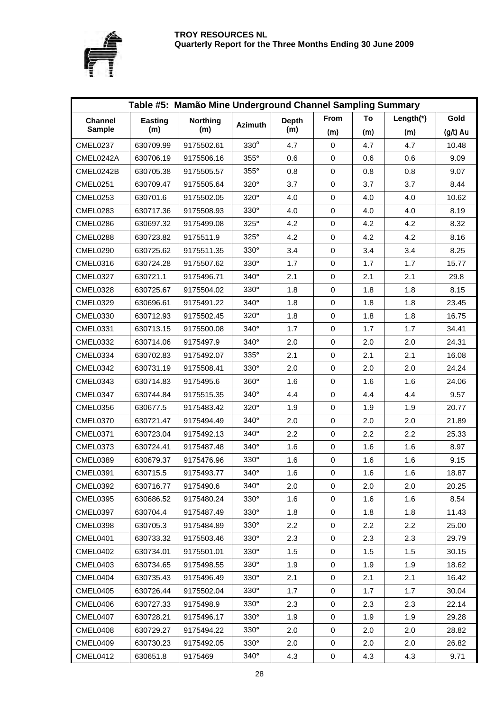

|                 | Table #5: Mamão Mine Underground Channel Sampling Summary |                 |                |              |             |     |           |            |  |  |  |  |
|-----------------|-----------------------------------------------------------|-----------------|----------------|--------------|-------------|-----|-----------|------------|--|--|--|--|
| <b>Channel</b>  | Easting                                                   | <b>Northing</b> |                | <b>Depth</b> | From        | To  | Length(*) | Gold       |  |  |  |  |
| <b>Sample</b>   | (m)                                                       | (m)             | <b>Azimuth</b> | (m)          | (m)         | (m) | (m)       | $(g/t)$ Au |  |  |  |  |
| <b>CMEL0237</b> | 630709.99                                                 | 9175502.61      | $330^\circ$    | 4.7          | $\mathbf 0$ | 4.7 | 4.7       | 10.48      |  |  |  |  |
| CMEL0242A       | 630706.19                                                 | 9175506.16      | 355°           | 0.6          | $\pmb{0}$   | 0.6 | 0.6       | 9.09       |  |  |  |  |
| CMEL0242B       | 630705.38                                                 | 9175505.57      | 355°           | 0.8          | $\mathbf 0$ | 0.8 | 0.8       | 9.07       |  |  |  |  |
| CMEL0251        | 630709.47                                                 | 9175505.64      | 320°           | 3.7          | 0           | 3.7 | 3.7       | 8.44       |  |  |  |  |
| <b>CMEL0253</b> | 630701.6                                                  | 9175502.05      | $320^\circ$    | 4.0          | 0           | 4.0 | 4.0       | 10.62      |  |  |  |  |
| <b>CMEL0283</b> | 630717.36                                                 | 9175508.93      | $330^\circ$    | 4.0          | 0           | 4.0 | 4.0       | 8.19       |  |  |  |  |
| CMEL0286        | 630697.32                                                 | 9175499.08      | 325°           | 4.2          | $\pmb{0}$   | 4.2 | 4.2       | 8.32       |  |  |  |  |
| CMEL0288        | 630723.82                                                 | 9175511.9       | 325°           | 4.2          | $\mathbf 0$ | 4.2 | 4.2       | 8.16       |  |  |  |  |
| CMEL0290        | 630725.62                                                 | 9175511.35      | $330^\circ$    | 3.4          | 0           | 3.4 | 3.4       | 8.25       |  |  |  |  |
| CMEL0316        | 630724.28                                                 | 9175507.62      | $330^\circ$    | 1.7          | $\pmb{0}$   | 1.7 | 1.7       | 15.77      |  |  |  |  |
| CMEL0327        | 630721.1                                                  | 9175496.71      | $340^\circ$    | 2.1          | $\mathbf 0$ | 2.1 | 2.1       | 29.8       |  |  |  |  |
| <b>CMEL0328</b> | 630725.67                                                 | 9175504.02      | $330^\circ$    | 1.8          | $\pmb{0}$   | 1.8 | 1.8       | 8.15       |  |  |  |  |
| <b>CMEL0329</b> | 630696.61                                                 | 9175491.22      | 340°           | 1.8          | $\pmb{0}$   | 1.8 | 1.8       | 23.45      |  |  |  |  |
| <b>CMEL0330</b> | 630712.93                                                 | 9175502.45      | $320^\circ$    | 1.8          | 0           | 1.8 | 1.8       | 16.75      |  |  |  |  |
| <b>CMEL0331</b> | 630713.15                                                 | 9175500.08      | $340^\circ$    | 1.7          | $\mathbf 0$ | 1.7 | 1.7       | 34.41      |  |  |  |  |
| <b>CMEL0332</b> | 630714.06                                                 | 9175497.9       | $340^\circ$    | 2.0          | $\pmb{0}$   | 2.0 | 2.0       | 24.31      |  |  |  |  |
| CMEL0334        | 630702.83                                                 | 9175492.07      | 335°           | 2.1          | $\pmb{0}$   | 2.1 | 2.1       | 16.08      |  |  |  |  |
| <b>CMEL0342</b> | 630731.19                                                 | 9175508.41      | 330°           | 2.0          | 0           | 2.0 | 2.0       | 24.24      |  |  |  |  |
| CMEL0343        | 630714.83                                                 | 9175495.6       | $360^\circ$    | 1.6          | 0           | 1.6 | 1.6       | 24.06      |  |  |  |  |
| CMEL0347        | 630744.84                                                 | 9175515.35      | 340°           | 4.4          | $\mathbf 0$ | 4.4 | 4.4       | 9.57       |  |  |  |  |
| CMEL0356        | 630677.5                                                  | 9175483.42      | $320^\circ$    | 1.9          | 0           | 1.9 | 1.9       | 20.77      |  |  |  |  |
| CMEL0370        | 630721.47                                                 | 9175494.49      | $340^\circ$    | 2.0          | $\pmb{0}$   | 2.0 | 2.0       | 21.89      |  |  |  |  |
| <b>CMEL0371</b> | 630723.04                                                 | 9175492.13      | $340^\circ$    | 2.2          | $\pmb{0}$   | 2.2 | 2.2       | 25.33      |  |  |  |  |
| <b>CMEL0373</b> | 630724.41                                                 | 9175487.48      | 340°           | 1.6          | $\pmb{0}$   | 1.6 | 1.6       | 8.97       |  |  |  |  |
| <b>CMEL0389</b> | 630679.37                                                 | 9175476.96      | 330°           | 1.6          | $\pmb{0}$   | 1.6 | 1.6       | 9.15       |  |  |  |  |
| <b>CMEL0391</b> | 630715.5                                                  | 9175493.77      | 340°           | 1.6          | 0           | 1.6 | 1.6       | 18.87      |  |  |  |  |
| <b>CMEL0392</b> | 630716.77                                                 | 9175490.6       | $340^\circ$    | 2.0          | 0           | 2.0 | 2.0       | 20.25      |  |  |  |  |
| <b>CMEL0395</b> | 630686.52                                                 | 9175480.24      | $330^\circ$    | 1.6          | 0           | 1.6 | 1.6       | 8.54       |  |  |  |  |
| CMEL0397        | 630704.4                                                  | 9175487.49      | $330^\circ$    | 1.8          | $\pmb{0}$   | 1.8 | 1.8       | 11.43      |  |  |  |  |
| <b>CMEL0398</b> | 630705.3                                                  | 9175484.89      | $330^\circ$    | 2.2          | 0           | 2.2 | 2.2       | 25.00      |  |  |  |  |
| CMEL0401        | 630733.32                                                 | 9175503.46      | $330^\circ$    | 2.3          | 0           | 2.3 | 2.3       | 29.79      |  |  |  |  |
| CMEL0402        | 630734.01                                                 | 9175501.01      | $330^\circ$    | 1.5          | 0           | 1.5 | 1.5       | 30.15      |  |  |  |  |
| CMEL0403        | 630734.65                                                 | 9175498.55      | $330^\circ$    | 1.9          | 0           | 1.9 | 1.9       | 18.62      |  |  |  |  |
| CMEL0404        | 630735.43                                                 | 9175496.49      | $330^\circ$    | 2.1          | 0           | 2.1 | 2.1       | 16.42      |  |  |  |  |
| CMEL0405        | 630726.44                                                 | 9175502.04      | $330^\circ$    | 1.7          | 0           | 1.7 | 1.7       | 30.04      |  |  |  |  |
| CMEL0406        | 630727.33                                                 | 9175498.9       | $330^\circ$    | 2.3          | 0           | 2.3 | 2.3       | 22.14      |  |  |  |  |
| CMEL0407        | 630728.21                                                 | 9175496.17      | $330^\circ$    | 1.9          | 0           | 1.9 | 1.9       | 29.28      |  |  |  |  |
| CMEL0408        | 630729.27                                                 | 9175494.22      | $330^\circ$    | 2.0          | 0           | 2.0 | 2.0       | 28.82      |  |  |  |  |
| CMEL0409        | 630730.23                                                 | 9175492.05      | $330^\circ$    | 2.0          | $\pmb{0}$   | 2.0 | 2.0       | 26.82      |  |  |  |  |
| CMEL0412        | 630651.8                                                  | 9175469         | $340^\circ$    | 4.3          | 0           | 4.3 | 4.3       | 9.71       |  |  |  |  |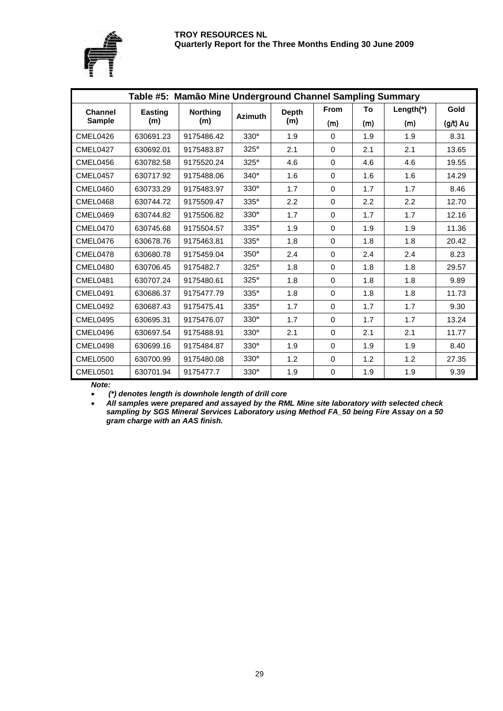

|                 | Table #5: Mamão Mine Underground Channel Sampling Summary |                 |                |              |             |     |           |                                                                                                                                                                       |  |  |  |  |
|-----------------|-----------------------------------------------------------|-----------------|----------------|--------------|-------------|-----|-----------|-----------------------------------------------------------------------------------------------------------------------------------------------------------------------|--|--|--|--|
| <b>Channel</b>  | Easting                                                   | <b>Northing</b> | <b>Azimuth</b> | <b>Depth</b> | <b>From</b> | To  | Length(*) | Gold<br>$(g/t)$ Au<br>8.31<br>13.65<br>19.55<br>14.29<br>8.46<br>12.70<br>12.16<br>11.36<br>20.42<br>8.23<br>29.57<br>9.89<br>11.73<br>9.30<br>13.24<br>11.77<br>8.40 |  |  |  |  |
| <b>Sample</b>   | (m)                                                       | (m)             |                | (m)          | (m)         | (m) | (m)       |                                                                                                                                                                       |  |  |  |  |
| CMEL0426        | 630691.23                                                 | 9175486.42      | $330^\circ$    | 1.9          | $\Omega$    | 1.9 | 1.9       |                                                                                                                                                                       |  |  |  |  |
| CMEL0427        | 630692.01                                                 | 9175483.87      | 325°           | 2.1          | $\Omega$    | 2.1 | 2.1       |                                                                                                                                                                       |  |  |  |  |
| CMEL0456        | 630782.58                                                 | 9175520.24      | 325°           | 4.6          | 0           | 4.6 | 4.6       |                                                                                                                                                                       |  |  |  |  |
| CMEL0457        | 630717.92                                                 | 9175488.06      | 340°           | 1.6          | $\mathbf 0$ | 1.6 | 1.6       |                                                                                                                                                                       |  |  |  |  |
| CMEL0460        | 630733.29                                                 | 9175483.97      | $330^\circ$    | 1.7          | $\mathbf 0$ | 1.7 | 1.7       |                                                                                                                                                                       |  |  |  |  |
| CMEL0468        | 630744.72                                                 | 9175509.47      | $335^\circ$    | 2.2          | $\Omega$    | 2.2 | 2.2       |                                                                                                                                                                       |  |  |  |  |
| CMEL0469        | 630744.82                                                 | 9175506.82      | $330^\circ$    | 1.7          | $\Omega$    | 1.7 | 1.7       |                                                                                                                                                                       |  |  |  |  |
| CMEL0470        | 630745.68                                                 | 9175504.57      | 335°           | 1.9          | $\mathbf 0$ | 1.9 | 1.9       |                                                                                                                                                                       |  |  |  |  |
| CMEL0476        | 630678.76                                                 | 9175463.81      | 335°           | 1.8          | 0           | 1.8 | 1.8       |                                                                                                                                                                       |  |  |  |  |
| CMEL0478        | 630680.78                                                 | 9175459.04      | $350^\circ$    | 2.4          | $\mathbf 0$ | 2.4 | 2.4       |                                                                                                                                                                       |  |  |  |  |
| CMEL0480        | 630706.45                                                 | 9175482.7       | $325^\circ$    | 1.8          | $\Omega$    | 1.8 | 1.8       |                                                                                                                                                                       |  |  |  |  |
| CMEL0481        | 630707.24                                                 | 9175480.61      | 325°           | 1.8          | 0           | 1.8 | 1.8       |                                                                                                                                                                       |  |  |  |  |
| CMEL0491        | 630686.37                                                 | 9175477.79      | $335^\circ$    | 1.8          | $\mathbf 0$ | 1.8 | 1.8       |                                                                                                                                                                       |  |  |  |  |
| <b>CMEL0492</b> | 630687.43                                                 | 9175475.41      | 335°           | 1.7          | $\Omega$    | 1.7 | 1.7       |                                                                                                                                                                       |  |  |  |  |
| CMEL0495        | 630695.31                                                 | 9175476.07      | $330^\circ$    | 1.7          | $\Omega$    | 1.7 | 1.7       |                                                                                                                                                                       |  |  |  |  |
| CMEL0496        | 630697.54                                                 | 9175488.91      | $330^\circ$    | 2.1          | 0           | 2.1 | 2.1       |                                                                                                                                                                       |  |  |  |  |
| CMEL0498        | 630699.16                                                 | 9175484.87      | 330°           | 1.9          | $\mathbf 0$ | 1.9 | 1.9       |                                                                                                                                                                       |  |  |  |  |
| <b>CMEL0500</b> | 630700.99                                                 | 9175480.08      | $330^\circ$    | 1.2          | 0           | 1.2 | 1.2       | 27.35                                                                                                                                                                 |  |  |  |  |
| CMEL0501        | 630701.94                                                 | 9175477.7       | $330^\circ$    | 1.9          | 0           | 1.9 | 1.9       | 9.39                                                                                                                                                                  |  |  |  |  |

*Note:* 

• *(\*) denotes length is downhole length of drill core*

• *All samples were prepared and assayed by the RML Mine site laboratory with selected check sampling by SGS Mineral Services Laboratory using Method FA\_50 being Fire Assay on a 50 gram charge with an AAS finish.*